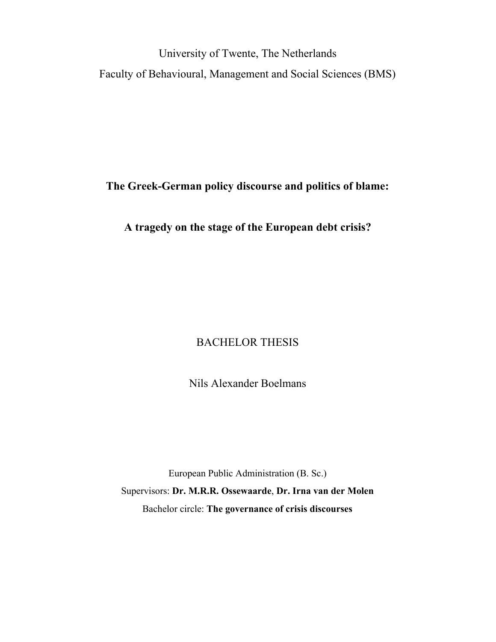University of Twente, The Netherlands Faculty of Behavioural, Management and Social Sciences (BMS)

**The Greek-German policy discourse and politics of blame:**

**A tragedy on the stage of the European debt crisis?**

## BACHELOR THESIS

Nils Alexander Boelmans

European Public Administration (B. Sc.) Supervisors: **Dr. M.R.R. Ossewaarde**, **Dr. Irna van der Molen** Bachelor circle: **The governance of crisis discourses**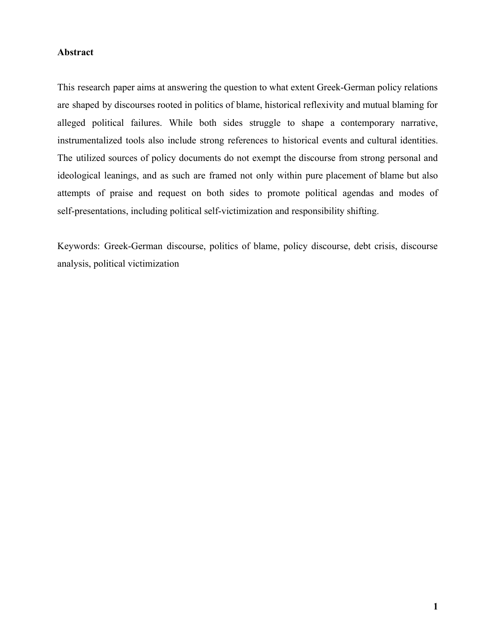## **Abstract**

This research paper aims at answering the question to what extent Greek-German policy relations are shaped by discourses rooted in politics of blame, historical reflexivity and mutual blaming for alleged political failures. While both sides struggle to shape a contemporary narrative, instrumentalized tools also include strong references to historical events and cultural identities. The utilized sources of policy documents do not exempt the discourse from strong personal and ideological leanings, and as such are framed not only within pure placement of blame but also attempts of praise and request on both sides to promote political agendas and modes of self-presentations, including political self-victimization and responsibility shifting.

Keywords: Greek-German discourse, politics of blame, policy discourse, debt crisis, discourse analysis, political victimization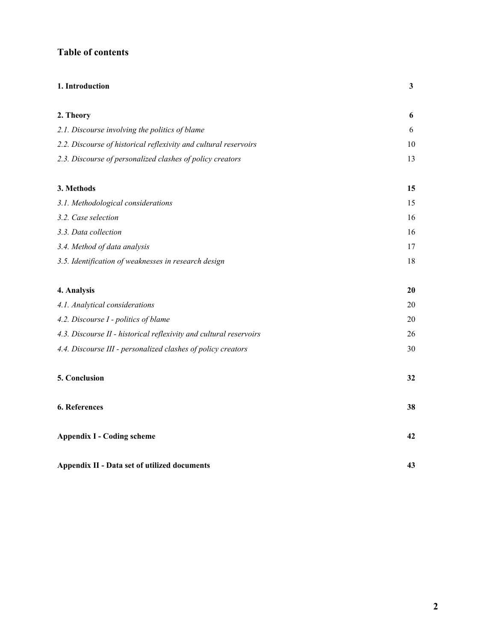## **Table of contents**

| 1. Introduction                                                    | 3  |
|--------------------------------------------------------------------|----|
| 2. Theory                                                          | 6  |
| 2.1. Discourse involving the politics of blame                     | 6  |
| 2.2. Discourse of historical reflexivity and cultural reservoirs   | 10 |
| 2.3. Discourse of personalized clashes of policy creators          | 13 |
| 3. Methods                                                         | 15 |
| 3.1. Methodological considerations                                 | 15 |
| 3.2. Case selection                                                | 16 |
| 3.3. Data collection                                               | 16 |
| 3.4. Method of data analysis                                       | 17 |
| 3.5. Identification of weaknesses in research design               | 18 |
| 4. Analysis                                                        | 20 |
| 4.1. Analytical considerations                                     | 20 |
| 4.2. Discourse I - politics of blame                               | 20 |
| 4.3. Discourse II - historical reflexivity and cultural reservoirs | 26 |
| 4.4. Discourse III - personalized clashes of policy creators       | 30 |
| 5. Conclusion                                                      | 32 |
| 6. References                                                      | 38 |
| <b>Appendix I - Coding scheme</b>                                  | 42 |
| Appendix II - Data set of utilized documents                       | 43 |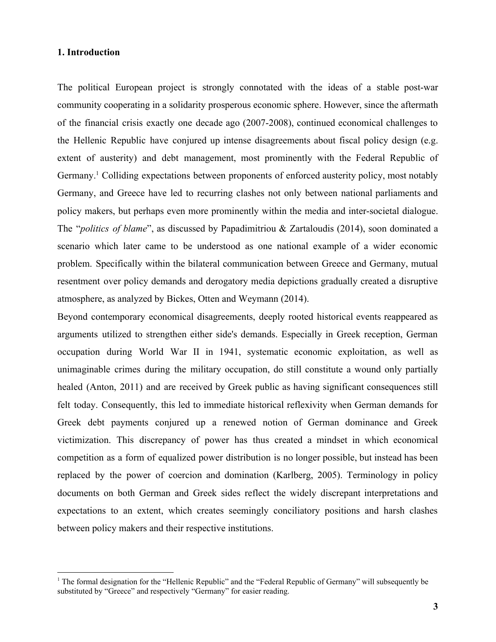#### **1. Introduction**

The political European project is strongly connotated with the ideas of a stable post-war community cooperating in a solidarity prosperous economic sphere. However, since the aftermath of the financial crisis exactly one decade ago (2007-2008), continued economical challenges to the Hellenic Republic have conjured up intense disagreements about fiscal policy design (e.g. extent of austerity) and debt management, most prominently with the Federal Republic of Germany.<sup>1</sup> Colliding expectations between proponents of enforced austerity policy, most notably Germany, and Greece have led to recurring clashes not only between national parliaments and policy makers, but perhaps even more prominently within the media and inter-societal dialogue. The "*politics of blame*", as discussed by Papadimitriou & Zartaloudis (2014), soon dominated a scenario which later came to be understood as one national example of a wider economic problem. Specifically within the bilateral communication between Greece and Germany, mutual resentment over policy demands and derogatory media depictions gradually created a disruptive atmosphere, as analyzed by Bickes, Otten and Weymann (2014).

Beyond contemporary economical disagreements, deeply rooted historical events reappeared as arguments utilized to strengthen either side's demands. Especially in Greek reception, German occupation during World War II in 1941, systematic economic exploitation, as well as unimaginable crimes during the military occupation, do still constitute a wound only partially healed (Anton, 2011) and are received by Greek public as having significant consequences still felt today. Consequently, this led to immediate historical reflexivity when German demands for Greek debt payments conjured up a renewed notion of German dominance and Greek victimization. This discrepancy of power has thus created a mindset in which economical competition as a form of equalized power distribution is no longer possible, but instead has been replaced by the power of coercion and domination (Karlberg, 2005). Terminology in policy documents on both German and Greek sides reflect the widely discrepant interpretations and expectations to an extent, which creates seemingly conciliatory positions and harsh clashes between policy makers and their respective institutions.

<sup>&</sup>lt;sup>1</sup> The formal designation for the "Hellenic Republic" and the "Federal Republic of Germany" will subsequently be substituted by "Greece" and respectively "Germany" for easier reading.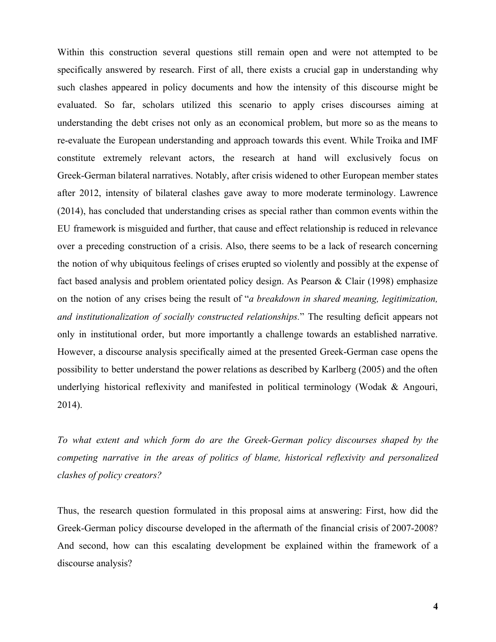Within this construction several questions still remain open and were not attempted to be specifically answered by research. First of all, there exists a crucial gap in understanding why such clashes appeared in policy documents and how the intensity of this discourse might be evaluated. So far, scholars utilized this scenario to apply crises discourses aiming at understanding the debt crises not only as an economical problem, but more so as the means to re-evaluate the European understanding and approach towards this event. While Troika and IMF constitute extremely relevant actors, the research at hand will exclusively focus on Greek-German bilateral narratives. Notably, after crisis widened to other European member states after 2012, intensity of bilateral clashes gave away to more moderate terminology. Lawrence (2014), has concluded that understanding crises as special rather than common events within the EU framework is misguided and further, that cause and effect relationship is reduced in relevance over a preceding construction of a crisis. Also, there seems to be a lack of research concerning the notion of why ubiquitous feelings of crises erupted so violently and possibly at the expense of fact based analysis and problem orientated policy design. As Pearson & Clair (1998) emphasize on the notion of any crises being the result of "*a breakdown in shared meaning, legitimization, and institutionalization of socially constructed relationships.*" The resulting deficit appears not only in institutional order, but more importantly a challenge towards an established narrative. However, a discourse analysis specifically aimed at the presented Greek-German case opens the possibility to better understand the power relations as described by Karlberg (2005) and the often underlying historical reflexivity and manifested in political terminology (Wodak & Angouri, 2014).

*To what extent and which form do are the Greek-German policy discourses shaped by the competing narrative in the areas of politics of blame, historical reflexivity and personalized clashes of policy creators?*

Thus, the research question formulated in this proposal aims at answering: First, how did the Greek-German policy discourse developed in the aftermath of the financial crisis of 2007-2008? And second, how can this escalating development be explained within the framework of a discourse analysis?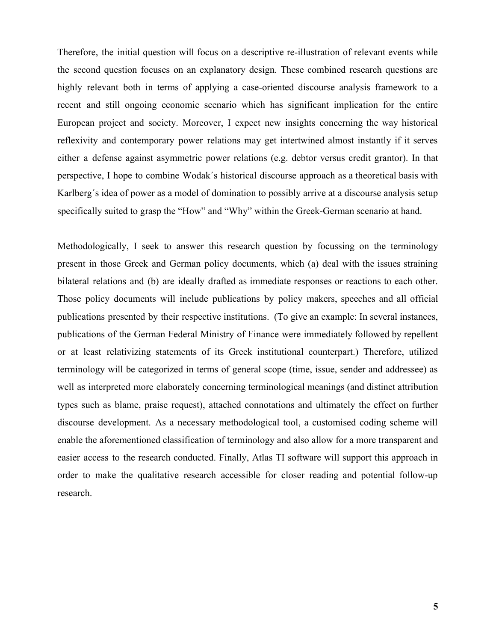Therefore, the initial question will focus on a descriptive re-illustration of relevant events while the second question focuses on an explanatory design. These combined research questions are highly relevant both in terms of applying a case-oriented discourse analysis framework to a recent and still ongoing economic scenario which has significant implication for the entire European project and society. Moreover, I expect new insights concerning the way historical reflexivity and contemporary power relations may get intertwined almost instantly if it serves either a defense against asymmetric power relations (e.g. debtor versus credit grantor). In that perspective, I hope to combine Wodak´s historical discourse approach as a theoretical basis with Karlberg´s idea of power as a model of domination to possibly arrive at a discourse analysis setup specifically suited to grasp the "How" and "Why" within the Greek-German scenario at hand.

Methodologically, I seek to answer this research question by focussing on the terminology present in those Greek and German policy documents, which (a) deal with the issues straining bilateral relations and (b) are ideally drafted as immediate responses or reactions to each other. Those policy documents will include publications by policy makers, speeches and all official publications presented by their respective institutions. (To give an example: In several instances, publications of the German Federal Ministry of Finance were immediately followed by repellent or at least relativizing statements of its Greek institutional counterpart.) Therefore, utilized terminology will be categorized in terms of general scope (time, issue, sender and addressee) as well as interpreted more elaborately concerning terminological meanings (and distinct attribution types such as blame, praise request), attached connotations and ultimately the effect on further discourse development. As a necessary methodological tool, a customised coding scheme will enable the aforementioned classification of terminology and also allow for a more transparent and easier access to the research conducted. Finally, Atlas TI software will support this approach in order to make the qualitative research accessible for closer reading and potential follow-up research.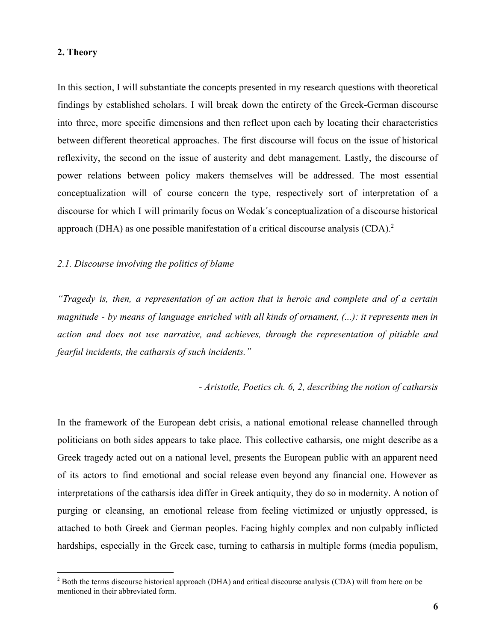### **2. Theory**

In this section, I will substantiate the concepts presented in my research questions with theoretical findings by established scholars. I will break down the entirety of the Greek-German discourse into three, more specific dimensions and then reflect upon each by locating their characteristics between different theoretical approaches. The first discourse will focus on the issue of historical reflexivity, the second on the issue of austerity and debt management. Lastly, the discourse of power relations between policy makers themselves will be addressed. The most essential conceptualization will of course concern the type, respectively sort of interpretation of a discourse for which I will primarily focus on Wodak´s conceptualization of a discourse historical approach (DHA) as one possible manifestation of a critical discourse analysis (CDA).<sup>2</sup>

## *2.1. Discourse involving the politics of blame*

*"Tragedy is, then, a representation of an action that is heroic and complete and of a certain magnitude - by means of language enriched with all kinds of ornament, (...): it represents men in action and does not use narrative, and achieves, through the representation of pitiable and fearful incidents, the catharsis of such incidents."*

#### *- Aristotle, Poetics ch. 6, 2, describing the notion of catharsis*

In the framework of the European debt crisis, a national emotional release channelled through politicians on both sides appears to take place. This collective catharsis, one might describe as a Greek tragedy acted out on a national level, presents the European public with an apparent need of its actors to find emotional and social release even beyond any financial one. However as interpretations of the catharsis idea differ in Greek antiquity, they do so in modernity. A notion of purging or cleansing, an emotional release from feeling victimized or unjustly oppressed, is attached to both Greek and German peoples. Facing highly complex and non culpably inflicted hardships, especially in the Greek case, turning to catharsis in multiple forms (media populism,

<sup>&</sup>lt;sup>2</sup> Both the terms discourse historical approach (DHA) and critical discourse analysis (CDA) will from here on be mentioned in their abbreviated form.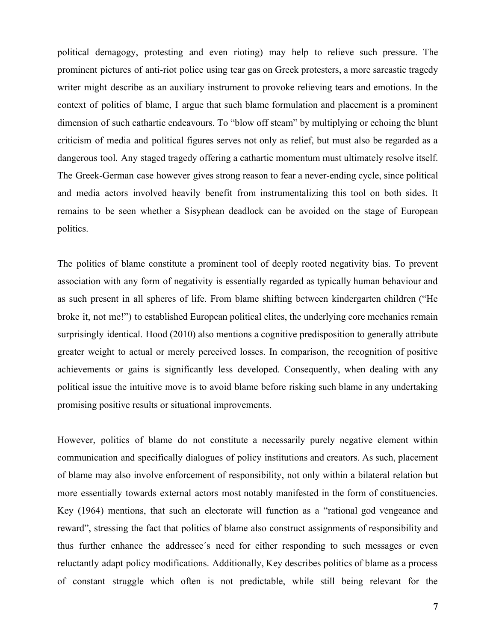political demagogy, protesting and even rioting) may help to relieve such pressure. The prominent pictures of anti-riot police using tear gas on Greek protesters, a more sarcastic tragedy writer might describe as an auxiliary instrument to provoke relieving tears and emotions. In the context of politics of blame, I argue that such blame formulation and placement is a prominent dimension of such cathartic endeavours. To "blow off steam" by multiplying or echoing the blunt criticism of media and political figures serves not only as relief, but must also be regarded as a dangerous tool. Any staged tragedy offering a cathartic momentum must ultimately resolve itself. The Greek-German case however gives strong reason to fear a never-ending cycle, since political and media actors involved heavily benefit from instrumentalizing this tool on both sides. It remains to be seen whether a Sisyphean deadlock can be avoided on the stage of European politics.

The politics of blame constitute a prominent tool of deeply rooted negativity bias. To prevent association with any form of negativity is essentially regarded as typically human behaviour and as such present in all spheres of life. From blame shifting between kindergarten children ("He broke it, not me!") to established European political elites, the underlying core mechanics remain surprisingly identical. Hood (2010) also mentions a cognitive predisposition to generally attribute greater weight to actual or merely perceived losses. In comparison, the recognition of positive achievements or gains is significantly less developed. Consequently, when dealing with any political issue the intuitive move is to avoid blame before risking such blame in any undertaking promising positive results or situational improvements.

However, politics of blame do not constitute a necessarily purely negative element within communication and specifically dialogues of policy institutions and creators. As such, placement of blame may also involve enforcement of responsibility, not only within a bilateral relation but more essentially towards external actors most notably manifested in the form of constituencies. Key (1964) mentions, that such an electorate will function as a "rational god vengeance and reward", stressing the fact that politics of blame also construct assignments of responsibility and thus further enhance the addressee´s need for either responding to such messages or even reluctantly adapt policy modifications. Additionally, Key describes politics of blame as a process of constant struggle which often is not predictable, while still being relevant for the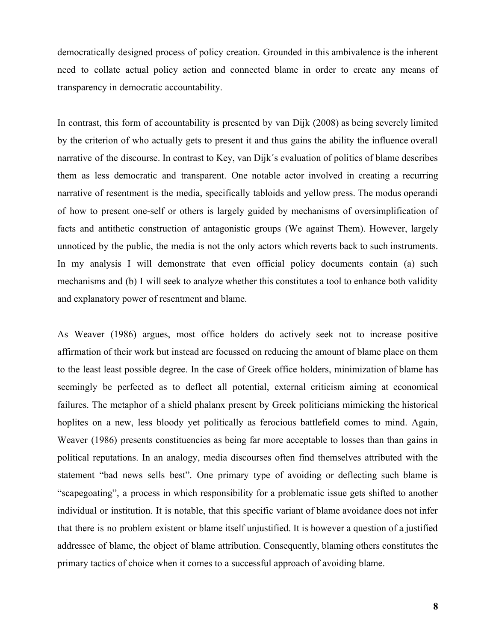democratically designed process of policy creation. Grounded in this ambivalence is the inherent need to collate actual policy action and connected blame in order to create any means of transparency in democratic accountability.

In contrast, this form of accountability is presented by van Dijk (2008) as being severely limited by the criterion of who actually gets to present it and thus gains the ability the influence overall narrative of the discourse. In contrast to Key, van Dijk´s evaluation of politics of blame describes them as less democratic and transparent. One notable actor involved in creating a recurring narrative of resentment is the media, specifically tabloids and yellow press. The modus operandi of how to present one-self or others is largely guided by mechanisms of oversimplification of facts and antithetic construction of antagonistic groups (We against Them). However, largely unnoticed by the public, the media is not the only actors which reverts back to such instruments. In my analysis I will demonstrate that even official policy documents contain (a) such mechanisms and (b) I will seek to analyze whether this constitutes a tool to enhance both validity and explanatory power of resentment and blame.

As Weaver (1986) argues, most office holders do actively seek not to increase positive affirmation of their work but instead are focussed on reducing the amount of blame place on them to the least least possible degree. In the case of Greek office holders, minimization of blame has seemingly be perfected as to deflect all potential, external criticism aiming at economical failures. The metaphor of a shield phalanx present by Greek politicians mimicking the historical hoplites on a new, less bloody yet politically as ferocious battlefield comes to mind. Again, Weaver (1986) presents constituencies as being far more acceptable to losses than than gains in political reputations. In an analogy, media discourses often find themselves attributed with the statement "bad news sells best". One primary type of avoiding or deflecting such blame is "scapegoating", a process in which responsibility for a problematic issue gets shifted to another individual or institution. It is notable, that this specific variant of blame avoidance does not infer that there is no problem existent or blame itself unjustified. It is however a question of a justified addressee of blame, the object of blame attribution. Consequently, blaming others constitutes the primary tactics of choice when it comes to a successful approach of avoiding blame.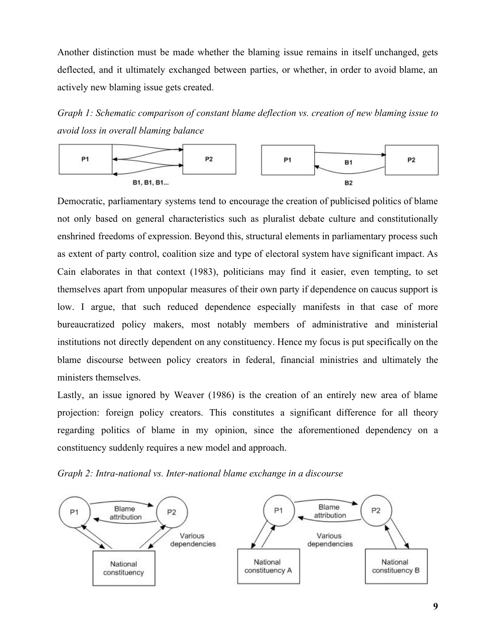Another distinction must be made whether the blaming issue remains in itself unchanged, gets deflected, and it ultimately exchanged between parties, or whether, in order to avoid blame, an actively new blaming issue gets created.

*Graph 1: Schematic comparison of constant blame deflection vs. creation of new blaming issue to avoid loss in overall blaming balance*



Democratic, parliamentary systems tend to encourage the creation of publicised politics of blame not only based on general characteristics such as pluralist debate culture and constitutionally enshrined freedoms of expression. Beyond this, structural elements in parliamentary process such as extent of party control, coalition size and type of electoral system have significant impact. As Cain elaborates in that context (1983), politicians may find it easier, even tempting, to set themselves apart from unpopular measures of their own party if dependence on caucus support is low. I argue, that such reduced dependence especially manifests in that case of more bureaucratized policy makers, most notably members of administrative and ministerial institutions not directly dependent on any constituency. Hence my focus is put specifically on the blame discourse between policy creators in federal, financial ministries and ultimately the ministers themselves.

Lastly, an issue ignored by Weaver (1986) is the creation of an entirely new area of blame projection: foreign policy creators. This constitutes a significant difference for all theory regarding politics of blame in my opinion, since the aforementioned dependency on a constituency suddenly requires a new model and approach.

*Graph 2: Intra-national vs. Inter-national blame exchange in a discourse*

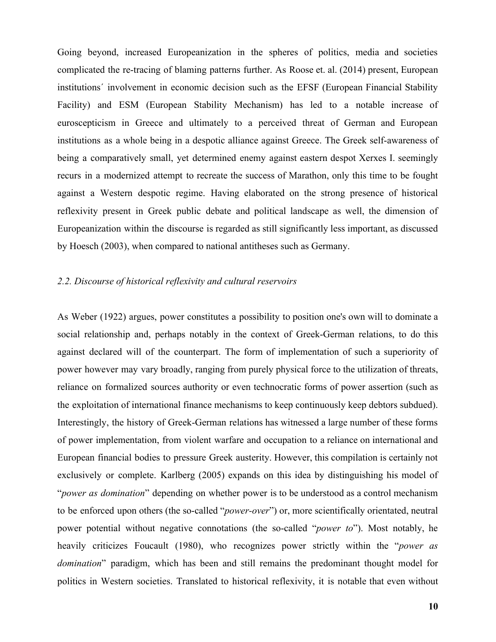Going beyond, increased Europeanization in the spheres of politics, media and societies complicated the re-tracing of blaming patterns further. As Roose et. al. (2014) present, European institutions´ involvement in economic decision such as the EFSF (European Financial Stability Facility) and ESM (European Stability Mechanism) has led to a notable increase of euroscepticism in Greece and ultimately to a perceived threat of German and European institutions as a whole being in a despotic alliance against Greece. The Greek self-awareness of being a comparatively small, yet determined enemy against eastern despot Xerxes I. seemingly recurs in a modernized attempt to recreate the success of Marathon, only this time to be fought against a Western despotic regime. Having elaborated on the strong presence of historical reflexivity present in Greek public debate and political landscape as well, the dimension of Europeanization within the discourse is regarded as still significantly less important, as discussed by Hoesch (2003), when compared to national antitheses such as Germany.

## *2.2. Discourse of historical reflexivity and cultural reservoirs*

As Weber (1922) argues, power constitutes a possibility to position one's own will to dominate a social relationship and, perhaps notably in the context of Greek-German relations, to do this against declared will of the counterpart. The form of implementation of such a superiority of power however may vary broadly, ranging from purely physical force to the utilization of threats, reliance on formalized sources authority or even technocratic forms of power assertion (such as the exploitation of international finance mechanisms to keep continuously keep debtors subdued). Interestingly, the history of Greek-German relations has witnessed a large number of these forms of power implementation, from violent warfare and occupation to a reliance on international and European financial bodies to pressure Greek austerity. However, this compilation is certainly not exclusively or complete. Karlberg (2005) expands on this idea by distinguishing his model of "*power as domination*" depending on whether power is to be understood as a control mechanism to be enforced upon others (the so-called "*power-over*") or, more scientifically orientated, neutral power potential without negative connotations (the so-called "*power to*"). Most notably, he heavily criticizes Foucault (1980), who recognizes power strictly within the "*power as domination*" paradigm, which has been and still remains the predominant thought model for politics in Western societies. Translated to historical reflexivity, it is notable that even without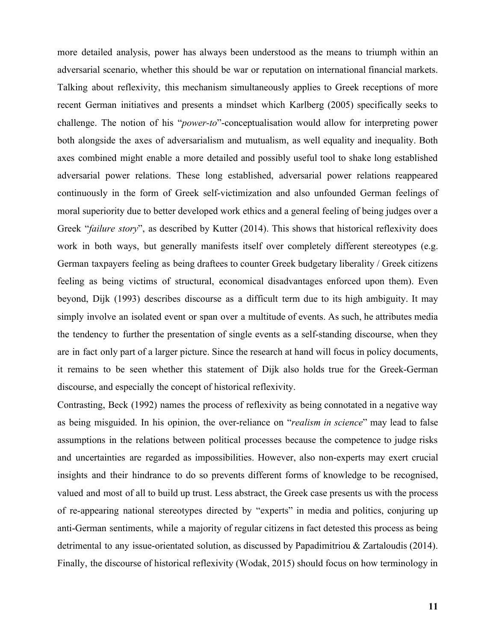more detailed analysis, power has always been understood as the means to triumph within an adversarial scenario, whether this should be war or reputation on international financial markets. Talking about reflexivity, this mechanism simultaneously applies to Greek receptions of more recent German initiatives and presents a mindset which Karlberg (2005) specifically seeks to challenge. The notion of his "*power-to*"-conceptualisation would allow for interpreting power both alongside the axes of adversarialism and mutualism, as well equality and inequality. Both axes combined might enable a more detailed and possibly useful tool to shake long established adversarial power relations. These long established, adversarial power relations reappeared continuously in the form of Greek self-victimization and also unfounded German feelings of moral superiority due to better developed work ethics and a general feeling of being judges over a Greek "*failure story*", as described by Kutter (2014). This shows that historical reflexivity does work in both ways, but generally manifests itself over completely different stereotypes (e.g. German taxpayers feeling as being draftees to counter Greek budgetary liberality / Greek citizens feeling as being victims of structural, economical disadvantages enforced upon them). Even beyond, Dijk (1993) describes discourse as a difficult term due to its high ambiguity. It may simply involve an isolated event or span over a multitude of events. As such, he attributes media the tendency to further the presentation of single events as a self-standing discourse, when they are in fact only part of a larger picture. Since the research at hand will focus in policy documents, it remains to be seen whether this statement of Dijk also holds true for the Greek-German discourse, and especially the concept of historical reflexivity.

Contrasting, Beck (1992) names the process of reflexivity as being connotated in a negative way as being misguided. In his opinion, the over-reliance on "*realism in science*" may lead to false assumptions in the relations between political processes because the competence to judge risks and uncertainties are regarded as impossibilities. However, also non-experts may exert crucial insights and their hindrance to do so prevents different forms of knowledge to be recognised, valued and most of all to build up trust. Less abstract, the Greek case presents us with the process of re-appearing national stereotypes directed by "experts" in media and politics, conjuring up anti-German sentiments, while a majority of regular citizens in fact detested this process as being detrimental to any issue-orientated solution, as discussed by Papadimitriou & Zartaloudis (2014). Finally, the discourse of historical reflexivity (Wodak, 2015) should focus on how terminology in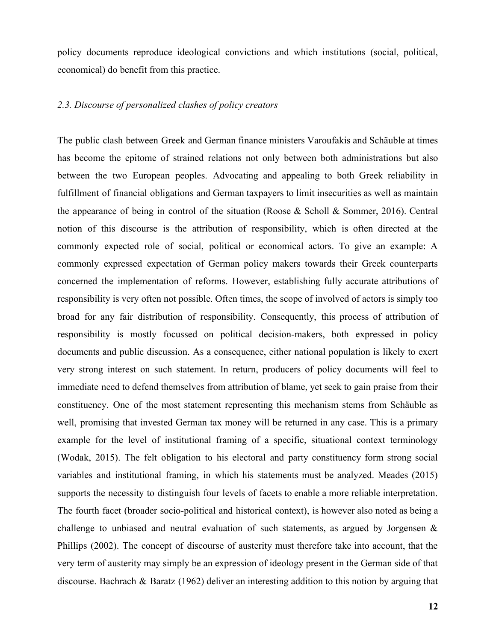policy documents reproduce ideological convictions and which institutions (social, political, economical) do benefit from this practice.

## *2.3. Discourse of personalized clashes of policy creators*

The public clash between Greek and German finance ministers Varoufakis and Schäuble at times has become the epitome of strained relations not only between both administrations but also between the two European peoples. Advocating and appealing to both Greek reliability in fulfillment of financial obligations and German taxpayers to limit insecurities as well as maintain the appearance of being in control of the situation (Roose & Scholl & Sommer, 2016). Central notion of this discourse is the attribution of responsibility, which is often directed at the commonly expected role of social, political or economical actors. To give an example: A commonly expressed expectation of German policy makers towards their Greek counterparts concerned the implementation of reforms. However, establishing fully accurate attributions of responsibility is very often not possible. Often times, the scope of involved of actors is simply too broad for any fair distribution of responsibility. Consequently, this process of attribution of responsibility is mostly focussed on political decision-makers, both expressed in policy documents and public discussion. As a consequence, either national population is likely to exert very strong interest on such statement. In return, producers of policy documents will feel to immediate need to defend themselves from attribution of blame, yet seek to gain praise from their constituency. One of the most statement representing this mechanism stems from Schäuble as well, promising that invested German tax money will be returned in any case. This is a primary example for the level of institutional framing of a specific, situational context terminology (Wodak, 2015). The felt obligation to his electoral and party constituency form strong social variables and institutional framing, in which his statements must be analyzed. Meades (2015) supports the necessity to distinguish four levels of facets to enable a more reliable interpretation. The fourth facet (broader socio-political and historical context), is however also noted as being a challenge to unbiased and neutral evaluation of such statements, as argued by Jorgensen  $\&$ Phillips (2002). The concept of discourse of austerity must therefore take into account, that the very term of austerity may simply be an expression of ideology present in the German side of that discourse. Bachrach & Baratz (1962) deliver an interesting addition to this notion by arguing that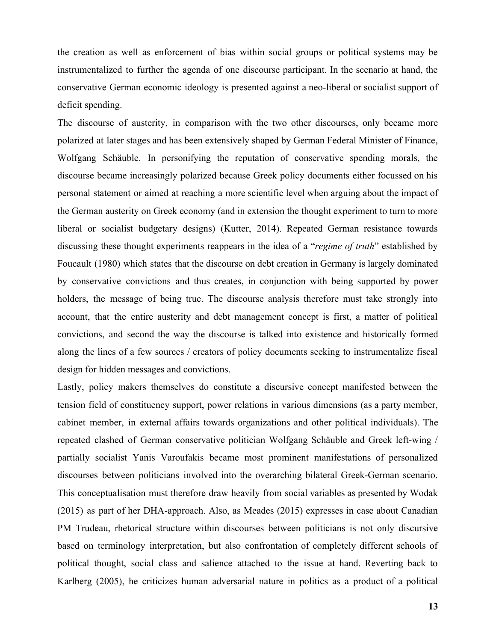the creation as well as enforcement of bias within social groups or political systems may be instrumentalized to further the agenda of one discourse participant. In the scenario at hand, the conservative German economic ideology is presented against a neo-liberal or socialist support of deficit spending.

The discourse of austerity, in comparison with the two other discourses, only became more polarized at later stages and has been extensively shaped by German Federal Minister of Finance, Wolfgang Schäuble. In personifying the reputation of conservative spending morals, the discourse became increasingly polarized because Greek policy documents either focussed on his personal statement or aimed at reaching a more scientific level when arguing about the impact of the German austerity on Greek economy (and in extension the thought experiment to turn to more liberal or socialist budgetary designs) (Kutter, 2014). Repeated German resistance towards discussing these thought experiments reappears in the idea of a "*regime of truth*" established by Foucault (1980) which states that the discourse on debt creation in Germany is largely dominated by conservative convictions and thus creates, in conjunction with being supported by power holders, the message of being true. The discourse analysis therefore must take strongly into account, that the entire austerity and debt management concept is first, a matter of political convictions, and second the way the discourse is talked into existence and historically formed along the lines of a few sources / creators of policy documents seeking to instrumentalize fiscal design for hidden messages and convictions.

Lastly, policy makers themselves do constitute a discursive concept manifested between the tension field of constituency support, power relations in various dimensions (as a party member, cabinet member, in external affairs towards organizations and other political individuals). The repeated clashed of German conservative politician Wolfgang Schäuble and Greek left-wing / partially socialist Yanis Varoufakis became most prominent manifestations of personalized discourses between politicians involved into the overarching bilateral Greek-German scenario. This conceptualisation must therefore draw heavily from social variables as presented by Wodak (2015) as part of her DHA-approach. Also, as Meades (2015) expresses in case about Canadian PM Trudeau, rhetorical structure within discourses between politicians is not only discursive based on terminology interpretation, but also confrontation of completely different schools of political thought, social class and salience attached to the issue at hand. Reverting back to Karlberg (2005), he criticizes human adversarial nature in politics as a product of a political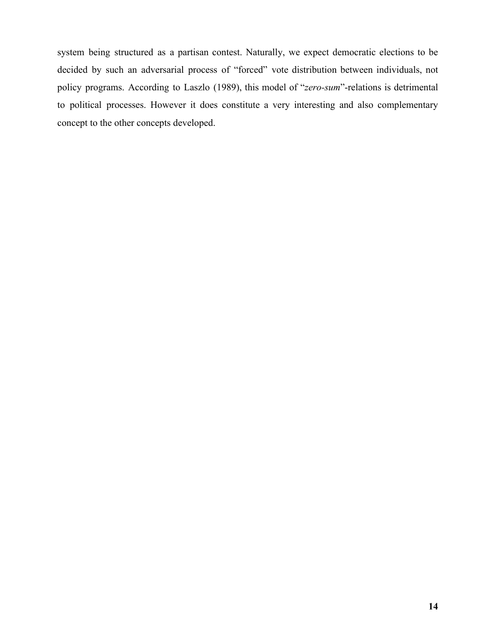system being structured as a partisan contest. Naturally, we expect democratic elections to be decided by such an adversarial process of "forced" vote distribution between individuals, not policy programs. According to Laszlo (1989), this model of "*zero-sum*"-relations is detrimental to political processes. However it does constitute a very interesting and also complementary concept to the other concepts developed.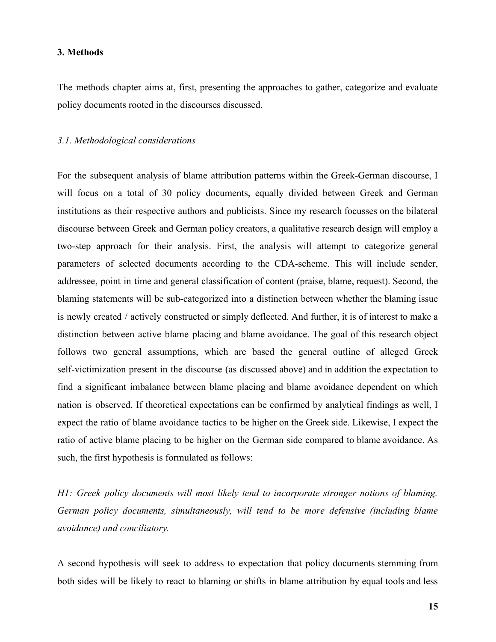#### **3. Methods**

The methods chapter aims at, first, presenting the approaches to gather, categorize and evaluate policy documents rooted in the discourses discussed.

### *3.1. Methodological considerations*

For the subsequent analysis of blame attribution patterns within the Greek-German discourse, I will focus on a total of 30 policy documents, equally divided between Greek and German institutions as their respective authors and publicists. Since my research focusses on the bilateral discourse between Greek and German policy creators, a qualitative research design will employ a two-step approach for their analysis. First, the analysis will attempt to categorize general parameters of selected documents according to the CDA-scheme. This will include sender, addressee, point in time and general classification of content (praise, blame, request). Second, the blaming statements will be sub-categorized into a distinction between whether the blaming issue is newly created / actively constructed or simply deflected. And further, it is of interest to make a distinction between active blame placing and blame avoidance. The goal of this research object follows two general assumptions, which are based the general outline of alleged Greek self-victimization present in the discourse (as discussed above) and in addition the expectation to find a significant imbalance between blame placing and blame avoidance dependent on which nation is observed. If theoretical expectations can be confirmed by analytical findings as well, I expect the ratio of blame avoidance tactics to be higher on the Greek side. Likewise, I expect the ratio of active blame placing to be higher on the German side compared to blame avoidance. As such, the first hypothesis is formulated as follows:

*H1: Greek policy documents will most likely tend to incorporate stronger notions of blaming. German policy documents, simultaneously, will tend to be more defensive (including blame avoidance) and conciliatory.*

A second hypothesis will seek to address to expectation that policy documents stemming from both sides will be likely to react to blaming or shifts in blame attribution by equal tools and less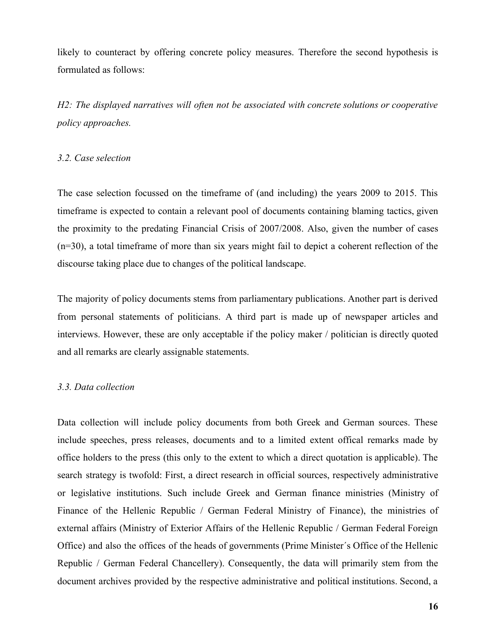likely to counteract by offering concrete policy measures. Therefore the second hypothesis is formulated as follows:

*H2: The displayed narratives will often not be associated with concrete solutions or cooperative policy approaches.*

## *3.2. Case selection*

The case selection focussed on the timeframe of (and including) the years 2009 to 2015. This timeframe is expected to contain a relevant pool of documents containing blaming tactics, given the proximity to the predating Financial Crisis of 2007/2008. Also, given the number of cases (n=30), a total timeframe of more than six years might fail to depict a coherent reflection of the discourse taking place due to changes of the political landscape.

The majority of policy documents stems from parliamentary publications. Another part is derived from personal statements of politicians. A third part is made up of newspaper articles and interviews. However, these are only acceptable if the policy maker / politician is directly quoted and all remarks are clearly assignable statements.

#### *3.3. Data collection*

Data collection will include policy documents from both Greek and German sources. These include speeches, press releases, documents and to a limited extent offical remarks made by office holders to the press (this only to the extent to which a direct quotation is applicable). The search strategy is twofold: First, a direct research in official sources, respectively administrative or legislative institutions. Such include Greek and German finance ministries (Ministry of Finance of the Hellenic Republic / German Federal Ministry of Finance), the ministries of external affairs (Ministry of Exterior Affairs of the Hellenic Republic / German Federal Foreign Office) and also the offices of the heads of governments (Prime Minister´s Office of the Hellenic Republic / German Federal Chancellery). Consequently, the data will primarily stem from the document archives provided by the respective administrative and political institutions. Second, a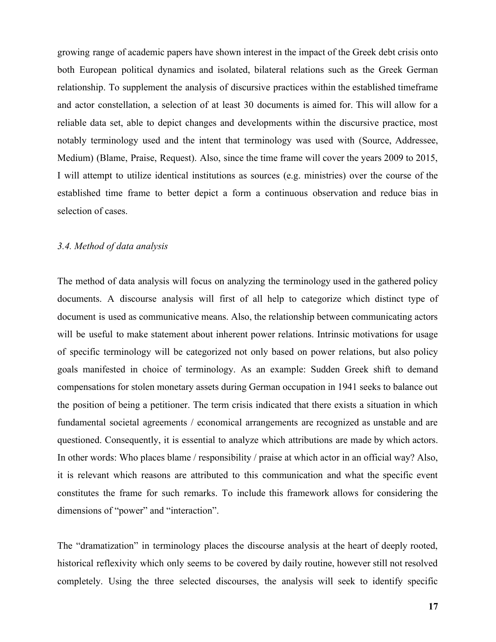growing range of academic papers have shown interest in the impact of the Greek debt crisis onto both European political dynamics and isolated, bilateral relations such as the Greek German relationship. To supplement the analysis of discursive practices within the established timeframe and actor constellation, a selection of at least 30 documents is aimed for. This will allow for a reliable data set, able to depict changes and developments within the discursive practice, most notably terminology used and the intent that terminology was used with (Source, Addressee, Medium) (Blame, Praise, Request). Also, since the time frame will cover the years 2009 to 2015, I will attempt to utilize identical institutions as sources (e.g. ministries) over the course of the established time frame to better depict a form a continuous observation and reduce bias in selection of cases.

## *3.4. Method of data analysis*

The method of data analysis will focus on analyzing the terminology used in the gathered policy documents. A discourse analysis will first of all help to categorize which distinct type of document is used as communicative means. Also, the relationship between communicating actors will be useful to make statement about inherent power relations. Intrinsic motivations for usage of specific terminology will be categorized not only based on power relations, but also policy goals manifested in choice of terminology. As an example: Sudden Greek shift to demand compensations for stolen monetary assets during German occupation in 1941 seeks to balance out the position of being a petitioner. The term crisis indicated that there exists a situation in which fundamental societal agreements / economical arrangements are recognized as unstable and are questioned. Consequently, it is essential to analyze which attributions are made by which actors. In other words: Who places blame / responsibility / praise at which actor in an official way? Also, it is relevant which reasons are attributed to this communication and what the specific event constitutes the frame for such remarks. To include this framework allows for considering the dimensions of "power" and "interaction".

The "dramatization" in terminology places the discourse analysis at the heart of deeply rooted, historical reflexivity which only seems to be covered by daily routine, however still not resolved completely. Using the three selected discourses, the analysis will seek to identify specific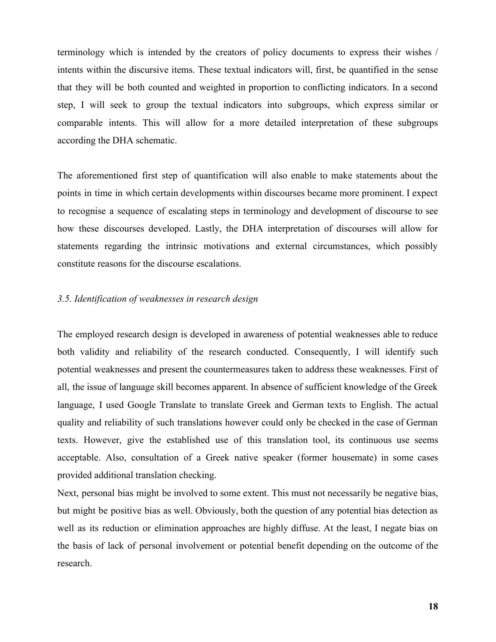terminology which is intended by the creators of policy documents to express their wishes / intents within the discursive items. These textual indicators will, first, be quantified in the sense that they will be both counted and weighted in proportion to conflicting indicators. In a second step, I will seek to group the textual indicators into subgroups, which express similar or comparable intents. This will allow for a more detailed interpretation of these subgroups according the DHA schematic.

The aforementioned first step of quantification will also enable to make statements about the points in time in which certain developments within discourses became more prominent. I expect to recognise a sequence of escalating steps in terminology and development of discourse to see how these discourses developed. Lastly, the DHA interpretation of discourses will allow for statements regarding the intrinsic motivations and external circumstances, which possibly constitute reasons for the discourse escalations.

## *3.5. Identification of weaknesses in research design*

The employed research design is developed in awareness of potential weaknesses able to reduce both validity and reliability of the research conducted. Consequently, I will identify such potential weaknesses and present the countermeasures taken to address these weaknesses. First of all, the issue of language skill becomes apparent. In absence of sufficient knowledge of the Greek language, I used Google Translate to translate Greek and German texts to English. The actual quality and reliability of such translations however could only be checked in the case of German texts. However, give the established use of this translation tool, its continuous use seems acceptable. Also, consultation of a Greek native speaker (former housemate) in some cases provided additional translation checking.

Next, personal bias might be involved to some extent. This must not necessarily be negative bias, but might be positive bias as well. Obviously, both the question of any potential bias detection as well as its reduction or elimination approaches are highly diffuse. At the least, I negate bias on the basis of lack of personal involvement or potential benefit depending on the outcome of the research.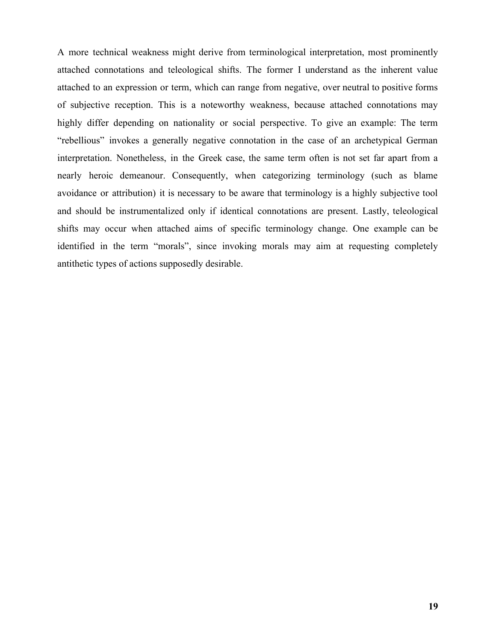A more technical weakness might derive from terminological interpretation, most prominently attached connotations and teleological shifts. The former I understand as the inherent value attached to an expression or term, which can range from negative, over neutral to positive forms of subjective reception. This is a noteworthy weakness, because attached connotations may highly differ depending on nationality or social perspective. To give an example: The term "rebellious" invokes a generally negative connotation in the case of an archetypical German interpretation. Nonetheless, in the Greek case, the same term often is not set far apart from a nearly heroic demeanour. Consequently, when categorizing terminology (such as blame avoidance or attribution) it is necessary to be aware that terminology is a highly subjective tool and should be instrumentalized only if identical connotations are present. Lastly, teleological shifts may occur when attached aims of specific terminology change. One example can be identified in the term "morals", since invoking morals may aim at requesting completely antithetic types of actions supposedly desirable.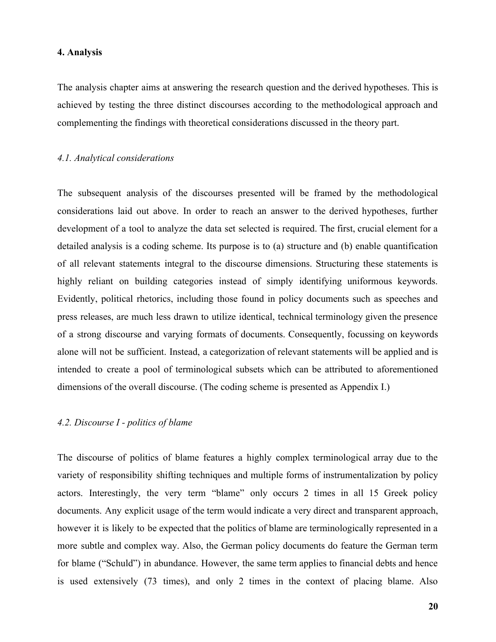#### **4. Analysis**

The analysis chapter aims at answering the research question and the derived hypotheses. This is achieved by testing the three distinct discourses according to the methodological approach and complementing the findings with theoretical considerations discussed in the theory part.

### *4.1. Analytical considerations*

The subsequent analysis of the discourses presented will be framed by the methodological considerations laid out above. In order to reach an answer to the derived hypotheses, further development of a tool to analyze the data set selected is required. The first, crucial element for a detailed analysis is a coding scheme. Its purpose is to (a) structure and (b) enable quantification of all relevant statements integral to the discourse dimensions. Structuring these statements is highly reliant on building categories instead of simply identifying uniformous keywords. Evidently, political rhetorics, including those found in policy documents such as speeches and press releases, are much less drawn to utilize identical, technical terminology given the presence of a strong discourse and varying formats of documents. Consequently, focussing on keywords alone will not be sufficient. Instead, a categorization of relevant statements will be applied and is intended to create a pool of terminological subsets which can be attributed to aforementioned dimensions of the overall discourse. (The coding scheme is presented as Appendix I.)

### *4.2. Discourse I - politics of blame*

The discourse of politics of blame features a highly complex terminological array due to the variety of responsibility shifting techniques and multiple forms of instrumentalization by policy actors. Interestingly, the very term "blame" only occurs 2 times in all 15 Greek policy documents. Any explicit usage of the term would indicate a very direct and transparent approach, however it is likely to be expected that the politics of blame are terminologically represented in a more subtle and complex way. Also, the German policy documents do feature the German term for blame ("Schuld") in abundance. However, the same term applies to financial debts and hence is used extensively (73 times), and only 2 times in the context of placing blame. Also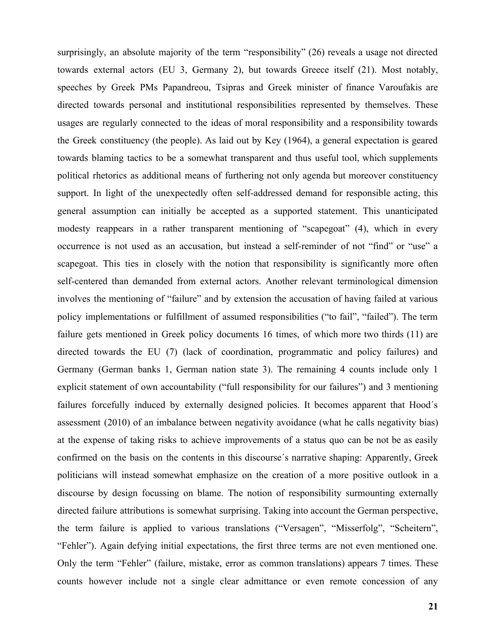surprisingly, an absolute majority of the term "responsibility" (26) reveals a usage not directed towards external actors (EU 3, Germany 2), but towards Greece itself (21). Most notably, speeches by Greek PMs Papandreou, Tsipras and Greek minister of finance Varoufakis are directed towards personal and institutional responsibilities represented by themselves. These usages are regularly connected to the ideas of moral responsibility and a responsibility towards the Greek constituency (the people). As laid out by Key (1964), a general expectation is geared towards blaming tactics to be a somewhat transparent and thus useful tool, which supplements political rhetorics as additional means of furthering not only agenda but moreover constituency support. In light of the unexpectedly often self-addressed demand for responsible acting, this general assumption can initially be accepted as a supported statement. This unanticipated modesty reappears in a rather transparent mentioning of "scapegoat" (4), which in every occurrence is not used as an accusation, but instead a self-reminder of not "find" or "use" a scapegoat. This ties in closely with the notion that responsibility is significantly more often self-centered than demanded from external actors. Another relevant terminological dimension involves the mentioning of "failure" and by extension the accusation of having failed at various policy implementations or fulfillment of assumed responsibilities ("to fail", "failed"). The term failure gets mentioned in Greek policy documents 16 times, of which more two thirds (11) are directed towards the EU (7) (lack of coordination, programmatic and policy failures) and Germany (German banks 1, German nation state 3). The remaining 4 counts include only 1 explicit statement of own accountability ("full responsibility for our failures") and 3 mentioning failures forcefully induced by externally designed policies. It becomes apparent that Hood´s assessment (2010) of an imbalance between negativity avoidance (what he calls negativity bias) at the expense of taking risks to achieve improvements of a status quo can be not be as easily confirmed on the basis on the contents in this discourse´s narrative shaping: Apparently, Greek politicians will instead somewhat emphasize on the creation of a more positive outlook in a discourse by design focussing on blame. The notion of responsibility surmounting externally directed failure attributions is somewhat surprising. Taking into account the German perspective, the term failure is applied to various translations ("Versagen", "Misserfolg", "Scheitern", "Fehler"). Again defying initial expectations, the first three terms are not even mentioned one. Only the term "Fehler" (failure, mistake, error as common translations) appears 7 times. These counts however include not a single clear admittance or even remote concession of any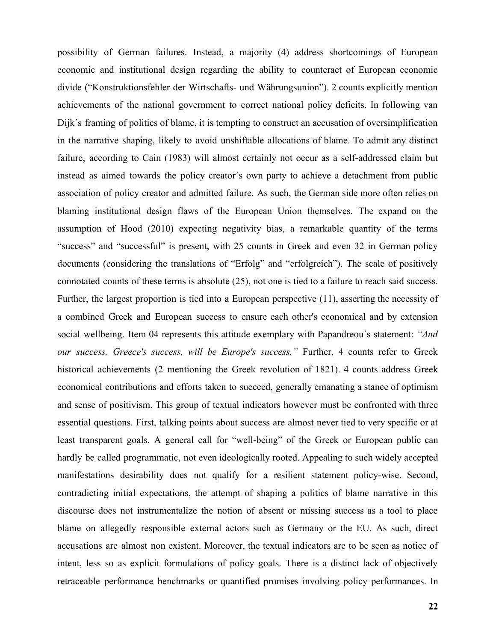possibility of German failures. Instead, a majority (4) address shortcomings of European economic and institutional design regarding the ability to counteract of European economic divide ("Konstruktionsfehler der Wirtschafts- und Währungsunion"). 2 counts explicitly mention achievements of the national government to correct national policy deficits. In following van Dijk´s framing of politics of blame, it is tempting to construct an accusation of oversimplification in the narrative shaping, likely to avoid unshiftable allocations of blame. To admit any distinct failure, according to Cain (1983) will almost certainly not occur as a self-addressed claim but instead as aimed towards the policy creator´s own party to achieve a detachment from public association of policy creator and admitted failure. As such, the German side more often relies on blaming institutional design flaws of the European Union themselves. The expand on the assumption of Hood (2010) expecting negativity bias, a remarkable quantity of the terms "success" and "successful" is present, with 25 counts in Greek and even 32 in German policy documents (considering the translations of "Erfolg" and "erfolgreich"). The scale of positively connotated counts of these terms is absolute (25), not one is tied to a failure to reach said success. Further, the largest proportion is tied into a European perspective (11), asserting the necessity of a combined Greek and European success to ensure each other's economical and by extension social wellbeing. Item 04 represents this attitude exemplary with Papandreou´s statement: *"And our success, Greece's success, will be Europe's success."* Further, 4 counts refer to Greek historical achievements (2 mentioning the Greek revolution of 1821). 4 counts address Greek economical contributions and efforts taken to succeed, generally emanating a stance of optimism and sense of positivism. This group of textual indicators however must be confronted with three essential questions. First, talking points about success are almost never tied to very specific or at least transparent goals. A general call for "well-being" of the Greek or European public can hardly be called programmatic, not even ideologically rooted. Appealing to such widely accepted manifestations desirability does not qualify for a resilient statement policy-wise. Second, contradicting initial expectations, the attempt of shaping a politics of blame narrative in this discourse does not instrumentalize the notion of absent or missing success as a tool to place blame on allegedly responsible external actors such as Germany or the EU. As such, direct accusations are almost non existent. Moreover, the textual indicators are to be seen as notice of intent, less so as explicit formulations of policy goals. There is a distinct lack of objectively retraceable performance benchmarks or quantified promises involving policy performances. In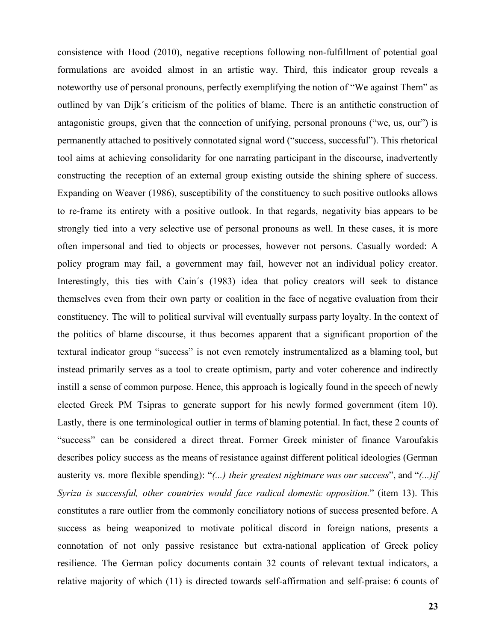consistence with Hood (2010), negative receptions following non-fulfillment of potential goal formulations are avoided almost in an artistic way. Third, this indicator group reveals a noteworthy use of personal pronouns, perfectly exemplifying the notion of "We against Them" as outlined by van Dijk´s criticism of the politics of blame. There is an antithetic construction of antagonistic groups, given that the connection of unifying, personal pronouns ("we, us, our") is permanently attached to positively connotated signal word ("success, successful"). This rhetorical tool aims at achieving consolidarity for one narrating participant in the discourse, inadvertently constructing the reception of an external group existing outside the shining sphere of success. Expanding on Weaver (1986), susceptibility of the constituency to such positive outlooks allows to re-frame its entirety with a positive outlook. In that regards, negativity bias appears to be strongly tied into a very selective use of personal pronouns as well. In these cases, it is more often impersonal and tied to objects or processes, however not persons. Casually worded: A policy program may fail, a government may fail, however not an individual policy creator. Interestingly, this ties with Cain´s (1983) idea that policy creators will seek to distance themselves even from their own party or coalition in the face of negative evaluation from their constituency. The will to political survival will eventually surpass party loyalty. In the context of the politics of blame discourse, it thus becomes apparent that a significant proportion of the textural indicator group "success" is not even remotely instrumentalized as a blaming tool, but instead primarily serves as a tool to create optimism, party and voter coherence and indirectly instill a sense of common purpose. Hence, this approach is logically found in the speech of newly elected Greek PM Tsipras to generate support for his newly formed government (item 10). Lastly, there is one terminological outlier in terms of blaming potential. In fact, these 2 counts of "success" can be considered a direct threat. Former Greek minister of finance Varoufakis describes policy success as the means of resistance against different political ideologies (German austerity vs. more flexible spending): "*(...) their greatest nightmare was our success*", and "*(...)if Syriza is successful, other countries would face radical domestic opposition.*" (item 13). This constitutes a rare outlier from the commonly conciliatory notions of success presented before. A success as being weaponized to motivate political discord in foreign nations, presents a connotation of not only passive resistance but extra-national application of Greek policy resilience. The German policy documents contain 32 counts of relevant textual indicators, a relative majority of which (11) is directed towards self-affirmation and self-praise: 6 counts of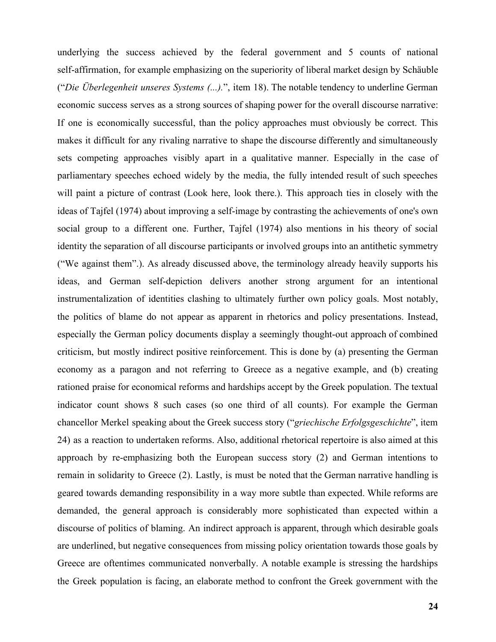underlying the success achieved by the federal government and 5 counts of national self-affirmation, for example emphasizing on the superiority of liberal market design by Schäuble ("*Die Überlegenheit unseres Systems (...).*", item 18). The notable tendency to underline German economic success serves as a strong sources of shaping power for the overall discourse narrative: If one is economically successful, than the policy approaches must obviously be correct. This makes it difficult for any rivaling narrative to shape the discourse differently and simultaneously sets competing approaches visibly apart in a qualitative manner. Especially in the case of parliamentary speeches echoed widely by the media, the fully intended result of such speeches will paint a picture of contrast (Look here, look there.). This approach ties in closely with the ideas of Tajfel (1974) about improving a self-image by contrasting the achievements of one's own social group to a different one. Further, Tajfel (1974) also mentions in his theory of social identity the separation of all discourse participants or involved groups into an antithetic symmetry ("We against them".). As already discussed above, the terminology already heavily supports his ideas, and German self-depiction delivers another strong argument for an intentional instrumentalization of identities clashing to ultimately further own policy goals. Most notably, the politics of blame do not appear as apparent in rhetorics and policy presentations. Instead, especially the German policy documents display a seemingly thought-out approach of combined criticism, but mostly indirect positive reinforcement. This is done by (a) presenting the German economy as a paragon and not referring to Greece as a negative example, and (b) creating rationed praise for economical reforms and hardships accept by the Greek population. The textual indicator count shows 8 such cases (so one third of all counts). For example the German chancellor Merkel speaking about the Greek success story ("*griechische Erfolgsgeschichte*", item 24) as a reaction to undertaken reforms. Also, additional rhetorical repertoire is also aimed at this approach by re-emphasizing both the European success story (2) and German intentions to remain in solidarity to Greece (2). Lastly, is must be noted that the German narrative handling is geared towards demanding responsibility in a way more subtle than expected. While reforms are demanded, the general approach is considerably more sophisticated than expected within a discourse of politics of blaming. An indirect approach is apparent, through which desirable goals are underlined, but negative consequences from missing policy orientation towards those goals by Greece are oftentimes communicated nonverbally. A notable example is stressing the hardships the Greek population is facing, an elaborate method to confront the Greek government with the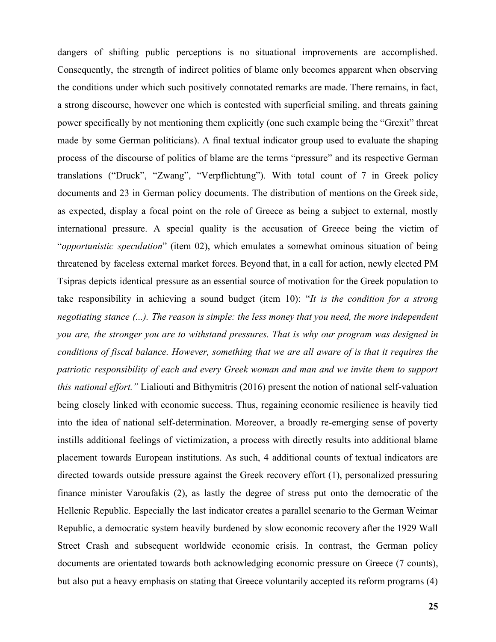dangers of shifting public perceptions is no situational improvements are accomplished. Consequently, the strength of indirect politics of blame only becomes apparent when observing the conditions under which such positively connotated remarks are made. There remains, in fact, a strong discourse, however one which is contested with superficial smiling, and threats gaining power specifically by not mentioning them explicitly (one such example being the "Grexit" threat made by some German politicians). A final textual indicator group used to evaluate the shaping process of the discourse of politics of blame are the terms "pressure" and its respective German translations ("Druck", "Zwang", "Verpflichtung"). With total count of 7 in Greek policy documents and 23 in German policy documents. The distribution of mentions on the Greek side, as expected, display a focal point on the role of Greece as being a subject to external, mostly international pressure. A special quality is the accusation of Greece being the victim of "*opportunistic speculation*" (item 02), which emulates a somewhat ominous situation of being threatened by faceless external market forces. Beyond that, in a call for action, newly elected PM Tsipras depicts identical pressure as an essential source of motivation for the Greek population to take responsibility in achieving a sound budget (item 10): "*It is the condition for a strong negotiating stance (...). The reason is simple: the less money that you need, the more independent you are, the stronger you are to withstand pressures. That is why our program was designed in conditions of fiscal balance. However, something that we are all aware of is that it requires the patriotic responsibility of each and every Greek woman and man and we invite them to support this national effort."* Lialiouti and Bithymitris (2016) present the notion of national self-valuation being closely linked with economic success. Thus, regaining economic resilience is heavily tied into the idea of national self-determination. Moreover, a broadly re-emerging sense of poverty instills additional feelings of victimization, a process with directly results into additional blame placement towards European institutions. As such, 4 additional counts of textual indicators are directed towards outside pressure against the Greek recovery effort (1), personalized pressuring finance minister Varoufakis (2), as lastly the degree of stress put onto the democratic of the Hellenic Republic. Especially the last indicator creates a parallel scenario to the German Weimar Republic, a democratic system heavily burdened by slow economic recovery after the 1929 Wall Street Crash and subsequent worldwide economic crisis. In contrast, the German policy documents are orientated towards both acknowledging economic pressure on Greece (7 counts), but also put a heavy emphasis on stating that Greece voluntarily accepted its reform programs (4)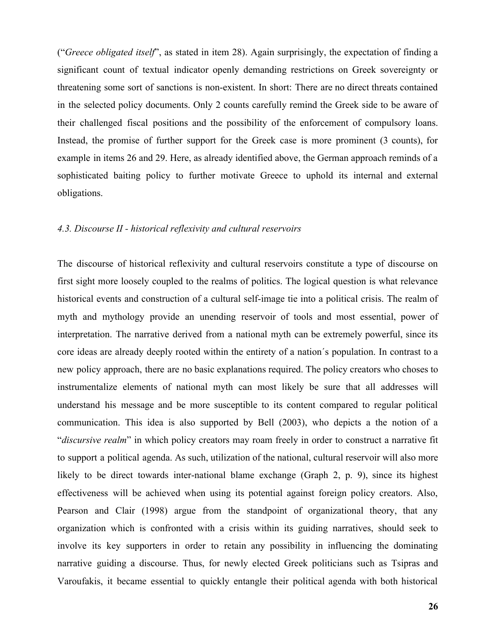("*Greece obligated itself*", as stated in item 28). Again surprisingly, the expectation of finding a significant count of textual indicator openly demanding restrictions on Greek sovereignty or threatening some sort of sanctions is non-existent. In short: There are no direct threats contained in the selected policy documents. Only 2 counts carefully remind the Greek side to be aware of their challenged fiscal positions and the possibility of the enforcement of compulsory loans. Instead, the promise of further support for the Greek case is more prominent (3 counts), for example in items 26 and 29. Here, as already identified above, the German approach reminds of a sophisticated baiting policy to further motivate Greece to uphold its internal and external obligations.

### *4.3. Discourse II - historical reflexivity and cultural reservoirs*

The discourse of historical reflexivity and cultural reservoirs constitute a type of discourse on first sight more loosely coupled to the realms of politics. The logical question is what relevance historical events and construction of a cultural self-image tie into a political crisis. The realm of myth and mythology provide an unending reservoir of tools and most essential, power of interpretation. The narrative derived from a national myth can be extremely powerful, since its core ideas are already deeply rooted within the entirety of a nation´s population. In contrast to a new policy approach, there are no basic explanations required. The policy creators who choses to instrumentalize elements of national myth can most likely be sure that all addresses will understand his message and be more susceptible to its content compared to regular political communication. This idea is also supported by Bell (2003), who depicts a the notion of a "*discursive realm*" in which policy creators may roam freely in order to construct a narrative fit to support a political agenda. As such, utilization of the national, cultural reservoir will also more likely to be direct towards inter-national blame exchange (Graph 2, p. 9), since its highest effectiveness will be achieved when using its potential against foreign policy creators. Also, Pearson and Clair (1998) argue from the standpoint of organizational theory, that any organization which is confronted with a crisis within its guiding narratives, should seek to involve its key supporters in order to retain any possibility in influencing the dominating narrative guiding a discourse. Thus, for newly elected Greek politicians such as Tsipras and Varoufakis, it became essential to quickly entangle their political agenda with both historical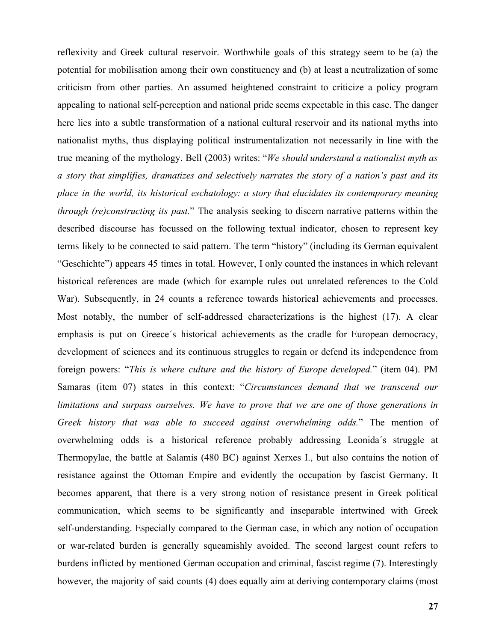reflexivity and Greek cultural reservoir. Worthwhile goals of this strategy seem to be (a) the potential for mobilisation among their own constituency and (b) at least a neutralization of some criticism from other parties. An assumed heightened constraint to criticize a policy program appealing to national self-perception and national pride seems expectable in this case. The danger here lies into a subtle transformation of a national cultural reservoir and its national myths into nationalist myths, thus displaying political instrumentalization not necessarily in line with the true meaning of the mythology. Bell (2003) writes: "*We should understand a nationalist myth as a story that simplifies, dramatizes and selectively narrates the story of a nation's past and its place in the world, its historical eschatology: a story that elucidates its contemporary meaning through (re)constructing its past.*" The analysis seeking to discern narrative patterns within the described discourse has focussed on the following textual indicator, chosen to represent key terms likely to be connected to said pattern. The term "history" (including its German equivalent "Geschichte") appears 45 times in total. However, I only counted the instances in which relevant historical references are made (which for example rules out unrelated references to the Cold War). Subsequently, in 24 counts a reference towards historical achievements and processes. Most notably, the number of self-addressed characterizations is the highest (17). A clear emphasis is put on Greece´s historical achievements as the cradle for European democracy, development of sciences and its continuous struggles to regain or defend its independence from foreign powers: "*This is where culture and the history of Europe developed.*" (item 04). PM Samaras (item 07) states in this context: "*Circumstances demand that we transcend our limitations and surpass ourselves. We have to prove that we are one of those generations in Greek history that was able to succeed against overwhelming odds.*" The mention of overwhelming odds is a historical reference probably addressing Leonida´s struggle at Thermopylae, the battle at Salamis (480 BC) against Xerxes I., but also contains the notion of resistance against the Ottoman Empire and evidently the occupation by fascist Germany. It becomes apparent, that there is a very strong notion of resistance present in Greek political communication, which seems to be significantly and inseparable intertwined with Greek self-understanding. Especially compared to the German case, in which any notion of occupation or war-related burden is generally squeamishly avoided. The second largest count refers to burdens inflicted by mentioned German occupation and criminal, fascist regime (7). Interestingly however, the majority of said counts (4) does equally aim at deriving contemporary claims (most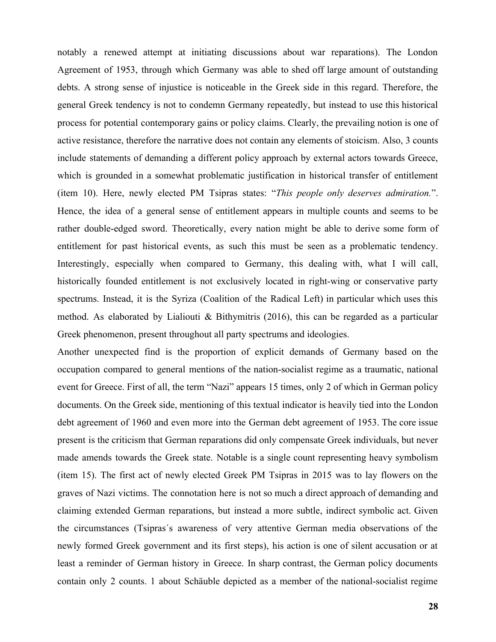notably a renewed attempt at initiating discussions about war reparations). The London Agreement of 1953, through which Germany was able to shed off large amount of outstanding debts. A strong sense of injustice is noticeable in the Greek side in this regard. Therefore, the general Greek tendency is not to condemn Germany repeatedly, but instead to use this historical process for potential contemporary gains or policy claims. Clearly, the prevailing notion is one of active resistance, therefore the narrative does not contain any elements of stoicism. Also, 3 counts include statements of demanding a different policy approach by external actors towards Greece, which is grounded in a somewhat problematic justification in historical transfer of entitlement (item 10). Here, newly elected PM Tsipras states: "*This people only deserves admiration.*". Hence, the idea of a general sense of entitlement appears in multiple counts and seems to be rather double-edged sword. Theoretically, every nation might be able to derive some form of entitlement for past historical events, as such this must be seen as a problematic tendency. Interestingly, especially when compared to Germany, this dealing with, what I will call, historically founded entitlement is not exclusively located in right-wing or conservative party spectrums. Instead, it is the Syriza (Coalition of the Radical Left) in particular which uses this method. As elaborated by Lialiouti & Bithymitris (2016), this can be regarded as a particular Greek phenomenon, present throughout all party spectrums and ideologies.

Another unexpected find is the proportion of explicit demands of Germany based on the occupation compared to general mentions of the nation-socialist regime as a traumatic, national event for Greece. First of all, the term "Nazi" appears 15 times, only 2 of which in German policy documents. On the Greek side, mentioning of this textual indicator is heavily tied into the London debt agreement of 1960 and even more into the German debt agreement of 1953. The core issue present is the criticism that German reparations did only compensate Greek individuals, but never made amends towards the Greek state. Notable is a single count representing heavy symbolism (item 15). The first act of newly elected Greek PM Tsipras in 2015 was to lay flowers on the graves of Nazi victims. The connotation here is not so much a direct approach of demanding and claiming extended German reparations, but instead a more subtle, indirect symbolic act. Given the circumstances (Tsipras´s awareness of very attentive German media observations of the newly formed Greek government and its first steps), his action is one of silent accusation or at least a reminder of German history in Greece. In sharp contrast, the German policy documents contain only 2 counts. 1 about Schäuble depicted as a member of the national-socialist regime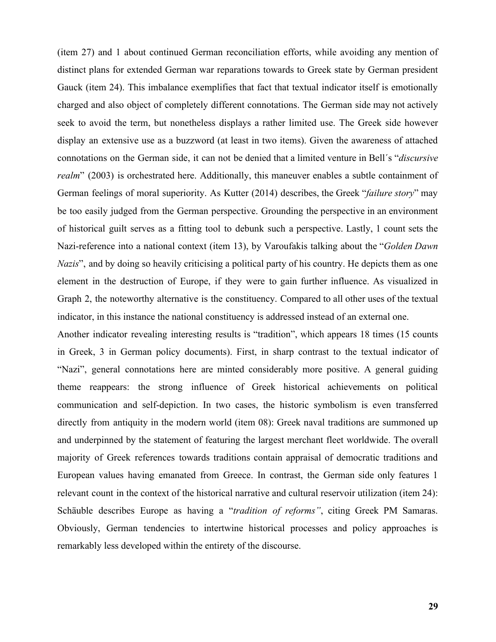(item 27) and 1 about continued German reconciliation efforts, while avoiding any mention of distinct plans for extended German war reparations towards to Greek state by German president Gauck (item 24). This imbalance exemplifies that fact that textual indicator itself is emotionally charged and also object of completely different connotations. The German side may not actively seek to avoid the term, but nonetheless displays a rather limited use. The Greek side however display an extensive use as a buzzword (at least in two items). Given the awareness of attached connotations on the German side, it can not be denied that a limited venture in Bell´s "*discursive realm*" (2003) is orchestrated here. Additionally, this maneuver enables a subtle containment of German feelings of moral superiority. As Kutter (2014) describes, the Greek "*failure story*" may be too easily judged from the German perspective. Grounding the perspective in an environment of historical guilt serves as a fitting tool to debunk such a perspective. Lastly, 1 count sets the Nazi-reference into a national context (item 13), by Varoufakis talking about the "*Golden Dawn Nazis*", and by doing so heavily criticising a political party of his country. He depicts them as one element in the destruction of Europe, if they were to gain further influence. As visualized in Graph 2, the noteworthy alternative is the constituency. Compared to all other uses of the textual indicator, in this instance the national constituency is addressed instead of an external one.

Another indicator revealing interesting results is "tradition", which appears 18 times (15 counts in Greek, 3 in German policy documents). First, in sharp contrast to the textual indicator of "Nazi", general connotations here are minted considerably more positive. A general guiding theme reappears: the strong influence of Greek historical achievements on political communication and self-depiction. In two cases, the historic symbolism is even transferred directly from antiquity in the modern world (item 08): Greek naval traditions are summoned up and underpinned by the statement of featuring the largest merchant fleet worldwide. The overall majority of Greek references towards traditions contain appraisal of democratic traditions and European values having emanated from Greece. In contrast, the German side only features 1 relevant count in the context of the historical narrative and cultural reservoir utilization (item 24): Schäuble describes Europe as having a "*tradition of reforms"*, citing Greek PM Samaras. Obviously, German tendencies to intertwine historical processes and policy approaches is remarkably less developed within the entirety of the discourse.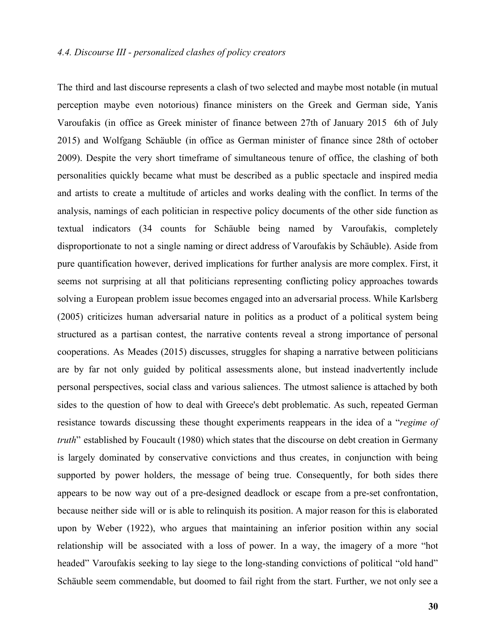The third and last discourse represents a clash of two selected and maybe most notable (in mutual perception maybe even notorious) finance ministers on the Greek and German side, Yanis Varoufakis (in office as Greek minister of finance between 27th of January 2015 6th of July 2015) and Wolfgang Schäuble (in office as German minister of finance since 28th of october 2009). Despite the very short timeframe of simultaneous tenure of office, the clashing of both personalities quickly became what must be described as a public spectacle and inspired media and artists to create a multitude of articles and works dealing with the conflict. In terms of the analysis, namings of each politician in respective policy documents of the other side function as textual indicators (34 counts for Schäuble being named by Varoufakis, completely disproportionate to not a single naming or direct address of Varoufakis by Schäuble). Aside from pure quantification however, derived implications for further analysis are more complex. First, it seems not surprising at all that politicians representing conflicting policy approaches towards solving a European problem issue becomes engaged into an adversarial process. While Karlsberg (2005) criticizes human adversarial nature in politics as a product of a political system being structured as a partisan contest, the narrative contents reveal a strong importance of personal cooperations. As Meades (2015) discusses, struggles for shaping a narrative between politicians are by far not only guided by political assessments alone, but instead inadvertently include personal perspectives, social class and various saliences. The utmost salience is attached by both sides to the question of how to deal with Greece's debt problematic. As such, repeated German resistance towards discussing these thought experiments reappears in the idea of a "*regime of truth*" established by Foucault (1980) which states that the discourse on debt creation in Germany is largely dominated by conservative convictions and thus creates, in conjunction with being supported by power holders, the message of being true. Consequently, for both sides there appears to be now way out of a pre-designed deadlock or escape from a pre-set confrontation, because neither side will or is able to relinquish its position. A major reason for this is elaborated upon by Weber (1922), who argues that maintaining an inferior position within any social relationship will be associated with a loss of power. In a way, the imagery of a more "hot headed" Varoufakis seeking to lay siege to the long-standing convictions of political "old hand" Schäuble seem commendable, but doomed to fail right from the start. Further, we not only see a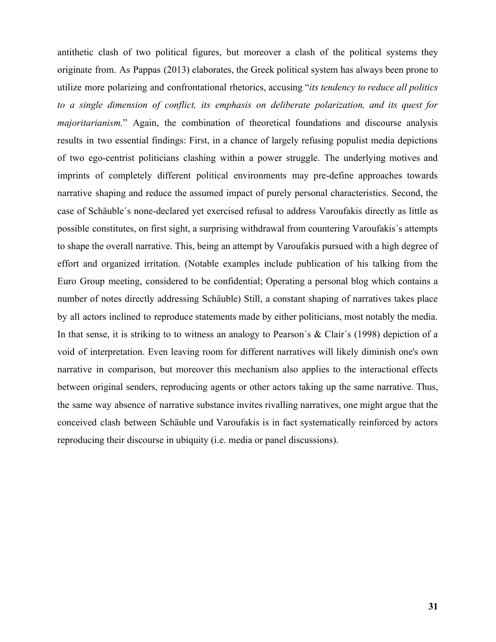antithetic clash of two political figures, but moreover a clash of the political systems they originate from. As Pappas (2013) elaborates, the Greek political system has always been prone to utilize more polarizing and confrontational rhetorics, accusing "*its tendency to reduce all politics to a single dimension of conflict, its emphasis on deliberate polarization, and its quest for majoritarianism.*" Again, the combination of theoretical foundations and discourse analysis results in two essential findings: First, in a chance of largely refusing populist media depictions of two ego-centrist politicians clashing within a power struggle. The underlying motives and imprints of completely different political environments may pre-define approaches towards narrative shaping and reduce the assumed impact of purely personal characteristics. Second, the case of Schäuble´s none-declared yet exercised refusal to address Varoufakis directly as little as possible constitutes, on first sight, a surprising withdrawal from countering Varoufakis´s attempts to shape the overall narrative. This, being an attempt by Varoufakis pursued with a high degree of effort and organized irritation. (Notable examples include publication of his talking from the Euro Group meeting, considered to be confidential; Operating a personal blog which contains a number of notes directly addressing Schäuble) Still, a constant shaping of narratives takes place by all actors inclined to reproduce statements made by either politicians, most notably the media. In that sense, it is striking to to witness an analogy to Pearson's & Clair's (1998) depiction of a void of interpretation. Even leaving room for different narratives will likely diminish one's own narrative in comparison, but moreover this mechanism also applies to the interactional effects between original senders, reproducing agents or other actors taking up the same narrative. Thus, the same way absence of narrative substance invites rivalling narratives, one might argue that the conceived clash between Schäuble und Varoufakis is in fact systematically reinforced by actors reproducing their discourse in ubiquity (i.e. media or panel discussions).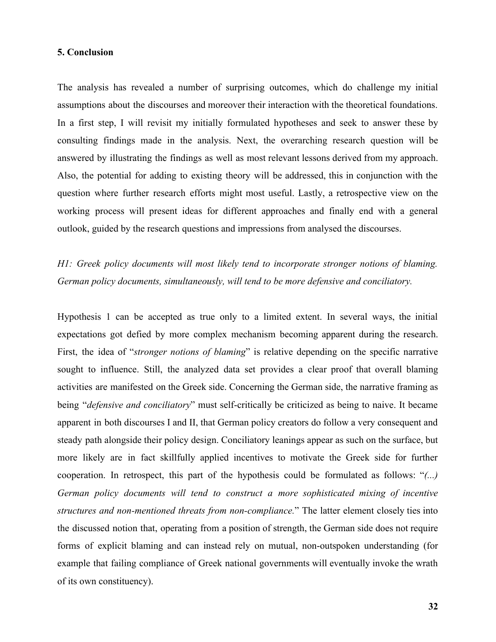#### **5. Conclusion**

The analysis has revealed a number of surprising outcomes, which do challenge my initial assumptions about the discourses and moreover their interaction with the theoretical foundations. In a first step, I will revisit my initially formulated hypotheses and seek to answer these by consulting findings made in the analysis. Next, the overarching research question will be answered by illustrating the findings as well as most relevant lessons derived from my approach. Also, the potential for adding to existing theory will be addressed, this in conjunction with the question where further research efforts might most useful. Lastly, a retrospective view on the working process will present ideas for different approaches and finally end with a general outlook, guided by the research questions and impressions from analysed the discourses.

## *H1: Greek policy documents will most likely tend to incorporate stronger notions of blaming. German policy documents, simultaneously, will tend to be more defensive and conciliatory.*

Hypothesis 1 can be accepted as true only to a limited extent. In several ways, the initial expectations got defied by more complex mechanism becoming apparent during the research. First, the idea of "*stronger notions of blaming*" is relative depending on the specific narrative sought to influence. Still, the analyzed data set provides a clear proof that overall blaming activities are manifested on the Greek side. Concerning the German side, the narrative framing as being "*defensive and conciliatory*" must self-critically be criticized as being to naive. It became apparent in both discourses I and II, that German policy creators do follow a very consequent and steady path alongside their policy design. Conciliatory leanings appear as such on the surface, but more likely are in fact skillfully applied incentives to motivate the Greek side for further cooperation. In retrospect, this part of the hypothesis could be formulated as follows: "*(...) German policy documents will tend to construct a more sophisticated mixing of incentive structures and non-mentioned threats from non-compliance.*" The latter element closely ties into the discussed notion that, operating from a position of strength, the German side does not require forms of explicit blaming and can instead rely on mutual, non-outspoken understanding (for example that failing compliance of Greek national governments will eventually invoke the wrath of its own constituency).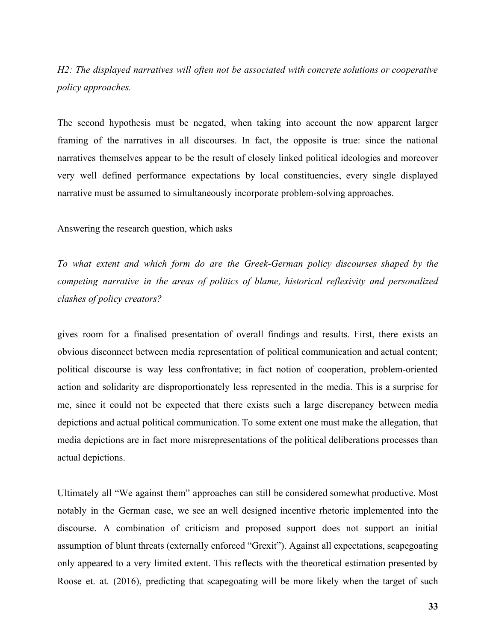## *H2: The displayed narratives will often not be associated with concrete solutions or cooperative policy approaches.*

The second hypothesis must be negated, when taking into account the now apparent larger framing of the narratives in all discourses. In fact, the opposite is true: since the national narratives themselves appear to be the result of closely linked political ideologies and moreover very well defined performance expectations by local constituencies, every single displayed narrative must be assumed to simultaneously incorporate problem-solving approaches.

Answering the research question, which asks

*To what extent and which form do are the Greek-German policy discourses shaped by the competing narrative in the areas of politics of blame, historical reflexivity and personalized clashes of policy creators?*

gives room for a finalised presentation of overall findings and results. First, there exists an obvious disconnect between media representation of political communication and actual content; political discourse is way less confrontative; in fact notion of cooperation, problem-oriented action and solidarity are disproportionately less represented in the media. This is a surprise for me, since it could not be expected that there exists such a large discrepancy between media depictions and actual political communication. To some extent one must make the allegation, that media depictions are in fact more misrepresentations of the political deliberations processes than actual depictions.

Ultimately all "We against them" approaches can still be considered somewhat productive. Most notably in the German case, we see an well designed incentive rhetoric implemented into the discourse. A combination of criticism and proposed support does not support an initial assumption of blunt threats (externally enforced "Grexit"). Against all expectations, scapegoating only appeared to a very limited extent. This reflects with the theoretical estimation presented by Roose et. at. (2016), predicting that scapegoating will be more likely when the target of such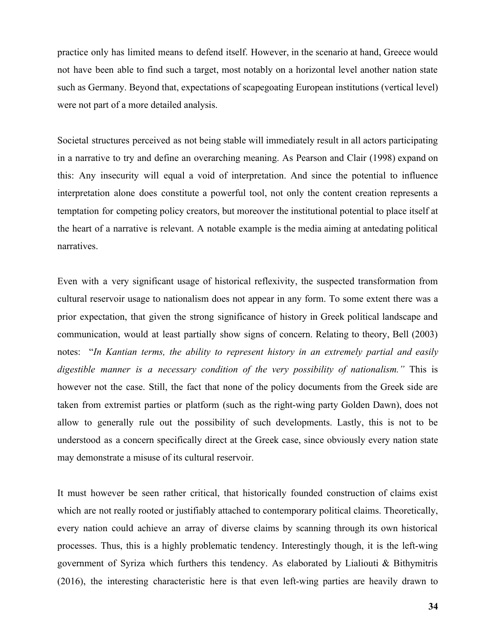practice only has limited means to defend itself. However, in the scenario at hand, Greece would not have been able to find such a target, most notably on a horizontal level another nation state such as Germany. Beyond that, expectations of scapegoating European institutions (vertical level) were not part of a more detailed analysis.

Societal structures perceived as not being stable will immediately result in all actors participating in a narrative to try and define an overarching meaning. As Pearson and Clair (1998) expand on this: Any insecurity will equal a void of interpretation. And since the potential to influence interpretation alone does constitute a powerful tool, not only the content creation represents a temptation for competing policy creators, but moreover the institutional potential to place itself at the heart of a narrative is relevant. A notable example is the media aiming at antedating political narratives.

Even with a very significant usage of historical reflexivity, the suspected transformation from cultural reservoir usage to nationalism does not appear in any form. To some extent there was a prior expectation, that given the strong significance of history in Greek political landscape and communication, would at least partially show signs of concern. Relating to theory, Bell (2003) notes: "*In Kantian terms, the ability to represent history in an extremely partial and easily digestible manner is a necessary condition of the very possibility of nationalism."* This is however not the case. Still, the fact that none of the policy documents from the Greek side are taken from extremist parties or platform (such as the right-wing party Golden Dawn), does not allow to generally rule out the possibility of such developments. Lastly, this is not to be understood as a concern specifically direct at the Greek case, since obviously every nation state may demonstrate a misuse of its cultural reservoir.

It must however be seen rather critical, that historically founded construction of claims exist which are not really rooted or justifiably attached to contemporary political claims. Theoretically, every nation could achieve an array of diverse claims by scanning through its own historical processes. Thus, this is a highly problematic tendency. Interestingly though, it is the left-wing government of Syriza which furthers this tendency. As elaborated by Lialiouti & Bithymitris (2016), the interesting characteristic here is that even left-wing parties are heavily drawn to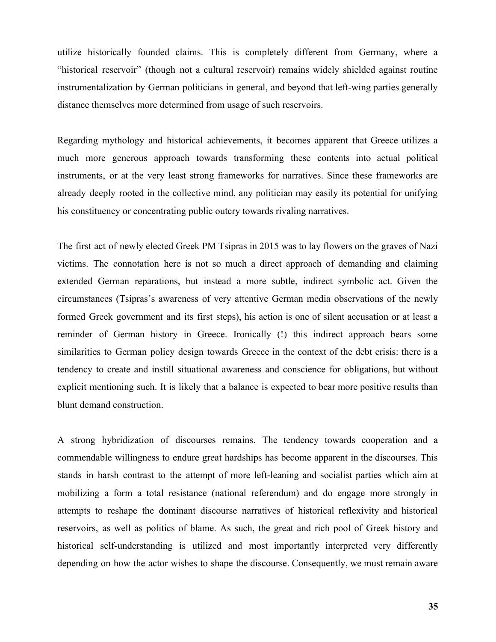utilize historically founded claims. This is completely different from Germany, where a "historical reservoir" (though not a cultural reservoir) remains widely shielded against routine instrumentalization by German politicians in general, and beyond that left-wing parties generally distance themselves more determined from usage of such reservoirs.

Regarding mythology and historical achievements, it becomes apparent that Greece utilizes a much more generous approach towards transforming these contents into actual political instruments, or at the very least strong frameworks for narratives. Since these frameworks are already deeply rooted in the collective mind, any politician may easily its potential for unifying his constituency or concentrating public outcry towards rivaling narratives.

The first act of newly elected Greek PM Tsipras in 2015 was to lay flowers on the graves of Nazi victims. The connotation here is not so much a direct approach of demanding and claiming extended German reparations, but instead a more subtle, indirect symbolic act. Given the circumstances (Tsipras´s awareness of very attentive German media observations of the newly formed Greek government and its first steps), his action is one of silent accusation or at least a reminder of German history in Greece. Ironically (!) this indirect approach bears some similarities to German policy design towards Greece in the context of the debt crisis: there is a tendency to create and instill situational awareness and conscience for obligations, but without explicit mentioning such. It is likely that a balance is expected to bear more positive results than blunt demand construction.

A strong hybridization of discourses remains. The tendency towards cooperation and a commendable willingness to endure great hardships has become apparent in the discourses. This stands in harsh contrast to the attempt of more left-leaning and socialist parties which aim at mobilizing a form a total resistance (national referendum) and do engage more strongly in attempts to reshape the dominant discourse narratives of historical reflexivity and historical reservoirs, as well as politics of blame. As such, the great and rich pool of Greek history and historical self-understanding is utilized and most importantly interpreted very differently depending on how the actor wishes to shape the discourse. Consequently, we must remain aware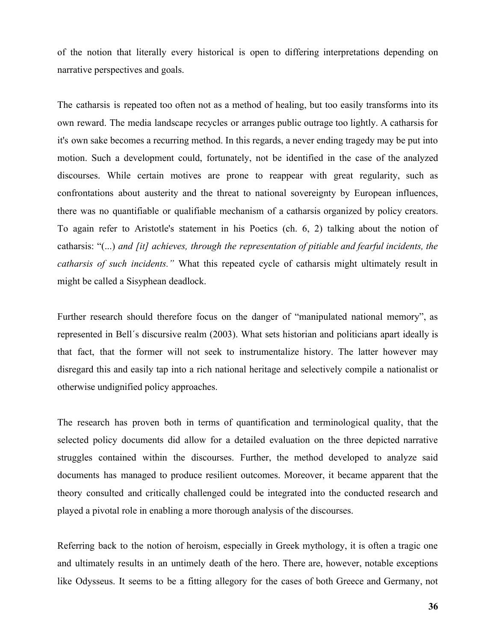of the notion that literally every historical is open to differing interpretations depending on narrative perspectives and goals.

The catharsis is repeated too often not as a method of healing, but too easily transforms into its own reward. The media landscape recycles or arranges public outrage too lightly. A catharsis for it's own sake becomes a recurring method. In this regards, a never ending tragedy may be put into motion. Such a development could, fortunately, not be identified in the case of the analyzed discourses. While certain motives are prone to reappear with great regularity, such as confrontations about austerity and the threat to national sovereignty by European influences, there was no quantifiable or qualifiable mechanism of a catharsis organized by policy creators. To again refer to Aristotle's statement in his Poetics (ch. 6, 2) talking about the notion of catharsis: "(...) *and [it] achieves, through the representation of pitiable and fearful incidents, the catharsis of such incidents."* What this repeated cycle of catharsis might ultimately result in might be called a Sisyphean deadlock.

Further research should therefore focus on the danger of "manipulated national memory", as represented in Bell´s discursive realm (2003). What sets historian and politicians apart ideally is that fact, that the former will not seek to instrumentalize history. The latter however may disregard this and easily tap into a rich national heritage and selectively compile a nationalist or otherwise undignified policy approaches.

The research has proven both in terms of quantification and terminological quality, that the selected policy documents did allow for a detailed evaluation on the three depicted narrative struggles contained within the discourses. Further, the method developed to analyze said documents has managed to produce resilient outcomes. Moreover, it became apparent that the theory consulted and critically challenged could be integrated into the conducted research and played a pivotal role in enabling a more thorough analysis of the discourses.

Referring back to the notion of heroism, especially in Greek mythology, it is often a tragic one and ultimately results in an untimely death of the hero. There are, however, notable exceptions like Odysseus. It seems to be a fitting allegory for the cases of both Greece and Germany, not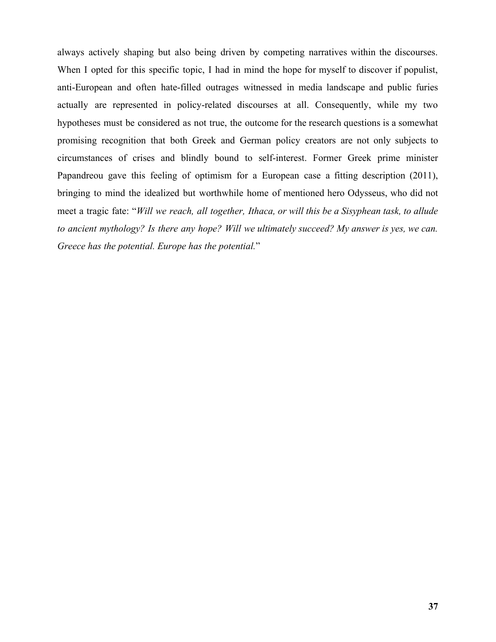always actively shaping but also being driven by competing narratives within the discourses. When I opted for this specific topic, I had in mind the hope for myself to discover if populist, anti-European and often hate-filled outrages witnessed in media landscape and public furies actually are represented in policy-related discourses at all. Consequently, while my two hypotheses must be considered as not true, the outcome for the research questions is a somewhat promising recognition that both Greek and German policy creators are not only subjects to circumstances of crises and blindly bound to self-interest. Former Greek prime minister Papandreou gave this feeling of optimism for a European case a fitting description (2011), bringing to mind the idealized but worthwhile home of mentioned hero Odysseus, who did not meet a tragic fate: "*Will we reach, all together, Ithaca, or will this be a Sisyphean task, to allude to ancient mythology? Is there any hope? Will we ultimately succeed? My answer is yes, we can. Greece has the potential. Europe has the potential.*"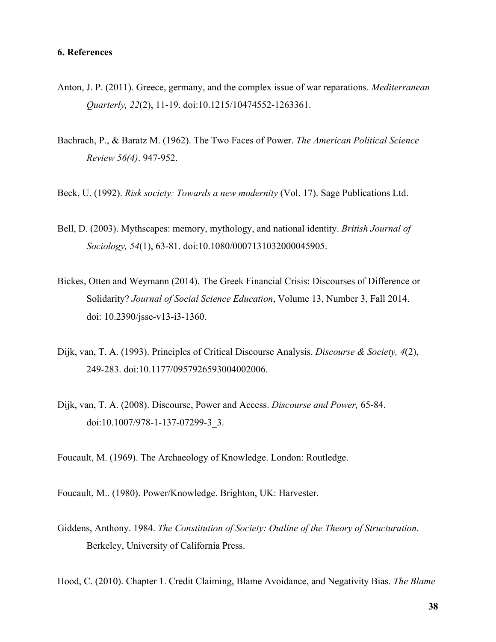- Anton, J. P. (2011). Greece, germany, and the complex issue of war reparations. *Mediterranean Quarterly, 22*(2), 11-19. doi:10.1215/10474552-1263361.
- Bachrach, P., & Baratz M. (1962). The Two Faces of Power. *The American Political Science Review 56(4)*. 947-952.
- Beck, U. (1992). *Risk society: Towards a new modernity* (Vol. 17). Sage Publications Ltd.
- Bell, D. (2003). Mythscapes: memory, mythology, and national identity. *British Journal of Sociology, 54*(1), 63-81. doi:10.1080/0007131032000045905.
- Bickes, Otten and Weymann (2014). The Greek Financial Crisis: Discourses of Difference or Solidarity? *Journal of Social Science Education*, Volume 13, Number 3, Fall 2014. doi: 10.2390/jsse-v13-i3-1360.
- Dijk, van, T. A. (1993). Principles of Critical Discourse Analysis. *Discourse & Society, 4*(2), 249-283. doi:10.1177/0957926593004002006.
- Dijk, van, T. A. (2008). Discourse, Power and Access. *Discourse and Power,* 65-84. doi:10.1007/978-1-137-07299-3\_3.

Foucault, M. (1969). The Archaeology of Knowledge. London: Routledge.

- Foucault, M.. (1980). Power/Knowledge. Brighton, UK: Harvester.
- Giddens, Anthony. 1984. *The Constitution of Society: Outline of the Theory of Structuration*. Berkeley, University of California Press.

Hood, C. (2010). Chapter 1. Credit Claiming, Blame Avoidance, and Negativity Bias. *The Blame*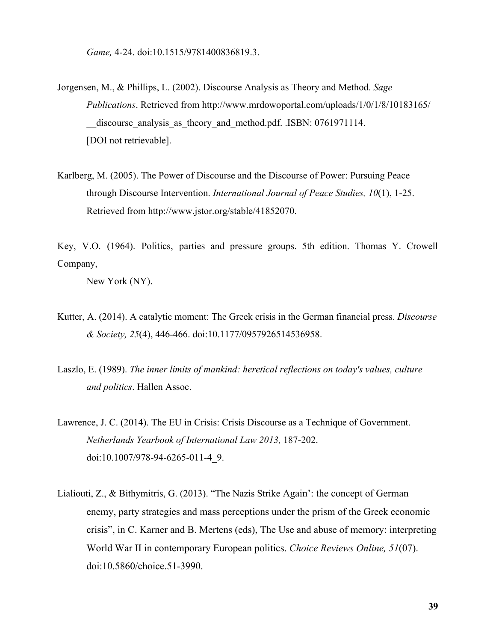*Game,* 4-24. doi:10.1515/9781400836819.3.

- Jorgensen, M., & Phillips, L. (2002). Discourse Analysis as Theory and Method. *Sage Publications*. Retrieved from http://www.mrdowoportal.com/uploads/1/0/1/8/10183165/ \_\_discourse\_analysis\_as\_theory\_and\_method.pdf. .ISBN: 0761971114. [DOI not retrievable].
- Karlberg, M. (2005). The Power of Discourse and the Discourse of Power: Pursuing Peace through Discourse Intervention. *International Journal of Peace Studies, 10*(1), 1-25. Retrieved from http://www.jstor.org/stable/41852070.

Key, V.O. (1964). Politics, parties and pressure groups. 5th edition. Thomas Y. Crowell Company,

New York (NY).

- Kutter, A. (2014). A catalytic moment: The Greek crisis in the German financial press. *Discourse & Society, 25*(4), 446-466. doi:10.1177/0957926514536958.
- Laszlo, E. (1989). *The inner limits of mankind: heretical reflections on today's values, culture and politics*. Hallen Assoc.
- Lawrence, J. C. (2014). The EU in Crisis: Crisis Discourse as a Technique of Government. *Netherlands Yearbook of International Law 2013,* 187-202. doi:10.1007/978-94-6265-011-4\_9.
- Lialiouti, Z., & Bithymitris, G. (2013). "The Nazis Strike Again': the concept of German enemy, party strategies and mass perceptions under the prism of the Greek economic crisis", in C. Karner and B. Mertens (eds), The Use and abuse of memory: interpreting World War II in contemporary European politics. *Choice Reviews Online, 51*(07). doi:10.5860/choice.51-3990.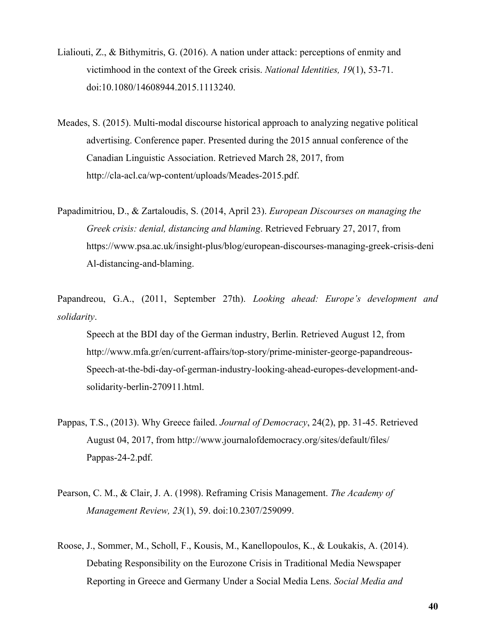- Lialiouti, Z., & Bithymitris, G. (2016). A nation under attack: perceptions of enmity and victimhood in the context of the Greek crisis. *National Identities, 19*(1), 53-71. doi:10.1080/14608944.2015.1113240.
- Meades, S. (2015). Multi-modal discourse historical approach to analyzing negative political advertising. Conference paper. Presented during the 2015 annual conference of the Canadian Linguistic Association. Retrieved March 28, 2017, from http://cla-acl.ca/wp-content/uploads/Meades-2015.pdf.
- Papadimitriou, D., & Zartaloudis, S. (2014, April 23). *European Discourses on managing the Greek crisis: denial, distancing and blaming*. Retrieved February 27, 2017, from https://www.psa.ac.uk/insight-plus/blog/european-discourses-managing-greek-crisis-deni Al-distancing-and-blaming.

Papandreou, G.A., (2011, September 27th). *Looking ahead: Europe's development and solidarity*.

Speech at the BDI day of the German industry, Berlin. Retrieved August 12, from http://www.mfa.gr/en/current-affairs/top-story/prime-minister-george-papandreous-Speech-at-the-bdi-day-of-german-industry-looking-ahead-europes-development-andsolidarity-berlin-270911.html.

- Pappas, T.S., (2013). Why Greece failed. *Journal of Democracy*, 24(2), pp. 31-45. Retrieved August 04, 2017, from http://www.journalofdemocracy.org/sites/default/files/ Pappas-24-2.pdf.
- Pearson, C. M., & Clair, J. A. (1998). Reframing Crisis Management. *The Academy of Management Review, 23*(1), 59. doi:10.2307/259099.
- Roose, J., Sommer, M., Scholl, F., Kousis, M., Kanellopoulos, K., & Loukakis, A. (2014). Debating Responsibility on the Eurozone Crisis in Traditional Media Newspaper Reporting in Greece and Germany Under a Social Media Lens. *Social Media and*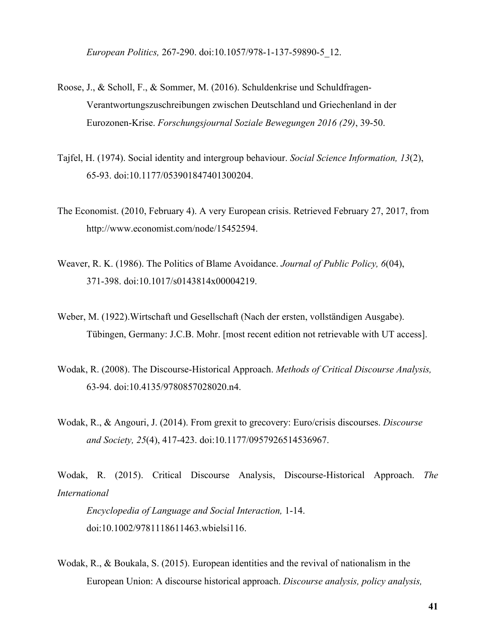*European Politics,* 267-290. doi:10.1057/978-1-137-59890-5\_12.

- Roose, J., & Scholl, F., & Sommer, M. (2016). Schuldenkrise und Schuldfragen-Verantwortungszuschreibungen zwischen Deutschland und Griechenland in der Eurozonen-Krise. *Forschungsjournal Soziale Bewegungen 2016 (29)*, 39-50.
- Tajfel, H. (1974). Social identity and intergroup behaviour. *Social Science Information, 13*(2), 65-93. doi:10.1177/053901847401300204.
- The Economist. (2010, February 4). A very European crisis. Retrieved February 27, 2017, from http://www.economist.com/node/15452594.
- Weaver, R. K. (1986). The Politics of Blame Avoidance. *Journal of Public Policy, 6*(04), 371-398. doi:10.1017/s0143814x00004219.
- Weber, M. (1922).Wirtschaft und Gesellschaft (Nach der ersten, vollständigen Ausgabe). Tübingen, Germany: J.C.B. Mohr. [most recent edition not retrievable with UT access].
- Wodak, R. (2008). The Discourse-Historical Approach. *Methods of Critical Discourse Analysis,* 63-94. doi:10.4135/9780857028020.n4.
- Wodak, R., & Angouri, J. (2014). From grexit to grecovery: Euro/crisis discourses. *Discourse and Society, 25*(4), 417-423. doi:10.1177/0957926514536967.

Wodak, R. (2015). Critical Discourse Analysis, Discourse-Historical Approach. *The International*

*Encyclopedia of Language and Social Interaction,* 1-14. doi:10.1002/9781118611463.wbielsi116.

Wodak, R., & Boukala, S. (2015). European identities and the revival of nationalism in the European Union: A discourse historical approach. *Discourse analysis, policy analysis,*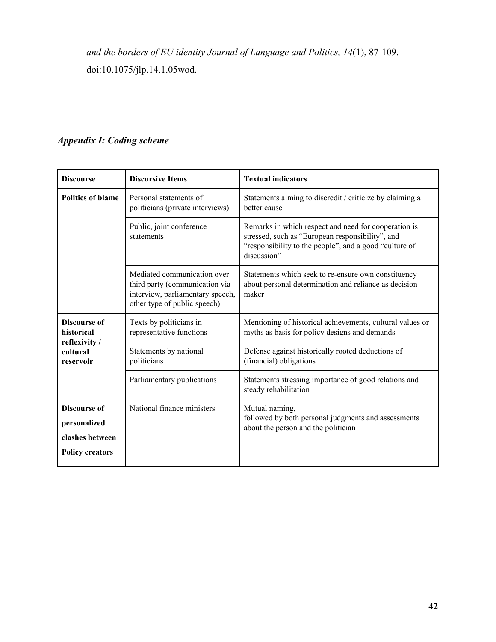*and the borders of EU identity Journal of Language and Politics, 14*(1), 87-109. doi:10.1075/jlp.14.1.05wod.

## *Appendix I: Coding scheme*

| <b>Discourse</b>                          | <b>Discursive Items</b>                                                                                                           | <b>Textual indicators</b>                                                                                                                                                         |  |  |  |
|-------------------------------------------|-----------------------------------------------------------------------------------------------------------------------------------|-----------------------------------------------------------------------------------------------------------------------------------------------------------------------------------|--|--|--|
| <b>Politics of blame</b>                  | Personal statements of<br>politicians (private interviews)                                                                        | Statements aiming to discredit / criticize by claiming a<br>better cause                                                                                                          |  |  |  |
|                                           | Public, joint conference<br>statements                                                                                            | Remarks in which respect and need for cooperation is<br>stressed, such as "European responsibility", and<br>"responsibility to the people", and a good "culture of<br>discussion" |  |  |  |
|                                           | Mediated communication over<br>third party (communication via<br>interview, parliamentary speech,<br>other type of public speech) | Statements which seek to re-ensure own constituency<br>about personal determination and reliance as decision<br>maker                                                             |  |  |  |
| <b>Discourse of</b><br>historical         | Texts by politicians in<br>representative functions                                                                               | Mentioning of historical achievements, cultural values or<br>myths as basis for policy designs and demands                                                                        |  |  |  |
| reflexivity /<br>cultural<br>reservoir    | Statements by national<br>politicians                                                                                             | Defense against historically rooted deductions of<br>(financial) obligations                                                                                                      |  |  |  |
|                                           | Parliamentary publications                                                                                                        | Statements stressing importance of good relations and<br>steady rehabilitation                                                                                                    |  |  |  |
| <b>Discourse of</b><br>personalized       | National finance ministers                                                                                                        | Mutual naming,<br>followed by both personal judgments and assessments<br>about the person and the politician                                                                      |  |  |  |
| clashes between<br><b>Policy creators</b> |                                                                                                                                   |                                                                                                                                                                                   |  |  |  |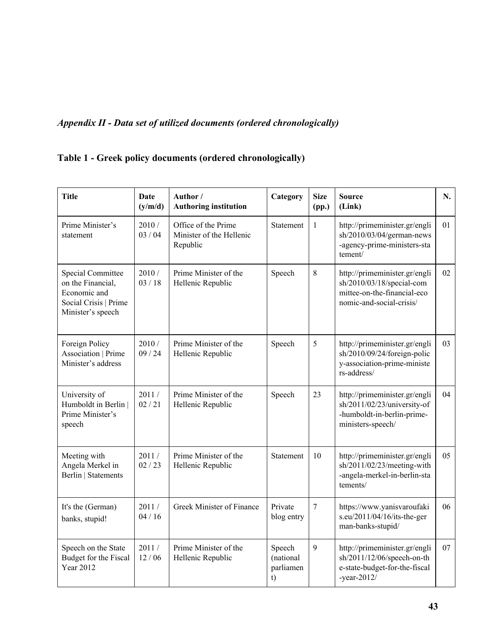# *Appendix II - Data set of utilized documents (ordered chronologically)*

## **Table 1 - Greek policy documents (ordered chronologically)**

| <b>Title</b>                                                                                                | Date<br>(y/m/d) | Author /<br><b>Authoring institution</b>                    | Category                               | <b>Size</b><br>(pp.) | <b>Source</b><br>(Link)                                                                                               | N. |
|-------------------------------------------------------------------------------------------------------------|-----------------|-------------------------------------------------------------|----------------------------------------|----------------------|-----------------------------------------------------------------------------------------------------------------------|----|
| Prime Minister's<br>statement                                                                               | 2010/<br>03/04  | Office of the Prime<br>Minister of the Hellenic<br>Republic | <b>Statement</b>                       | $\mathbf{1}$         | http://primeminister.gr/engli<br>sh/2010/03/04/german-news<br>-agency-prime-ministers-sta<br>tement/                  | 01 |
| <b>Special Committee</b><br>on the Financial,<br>Economic and<br>Social Crisis   Prime<br>Minister's speech | 2010/<br>03/18  | Prime Minister of the<br>Hellenic Republic                  | Speech                                 | 8                    | http://primeminister.gr/engli<br>sh/2010/03/18/special-com<br>mittee-on-the-financial-eco<br>nomic-and-social-crisis/ | 02 |
| Foreign Policy<br><b>Association   Prime</b><br>Minister's address                                          | 2010/<br>09/24  | Prime Minister of the<br>Hellenic Republic                  | Speech                                 | 5                    | http://primeminister.gr/engli<br>sh/2010/09/24/foreign-polic<br>y-association-prime-ministe<br>rs-address/            | 03 |
| University of<br>Humboldt in Berlin  <br>Prime Minister's<br>speech                                         | 2011/<br>02/21  | Prime Minister of the<br>Hellenic Republic                  | Speech                                 | 23                   | http://primeminister.gr/engli<br>sh/2011/02/23/university-of<br>-humboldt-in-berlin-prime-<br>ministers-speech/       | 04 |
| Meeting with<br>Angela Merkel in<br><b>Berlin   Statements</b>                                              | 2011/<br>02/23  | Prime Minister of the<br>Hellenic Republic                  | <b>Statement</b>                       | 10                   | http://primeminister.gr/engli<br>$sh/2011/02/23/mecting$ -with<br>-angela-merkel-in-berlin-sta<br>tements/            | 05 |
| It's the (German)<br>banks, stupid!                                                                         | 2011/<br>04/16  | Greek Minister of Finance                                   | Private<br>blog entry                  | $\overline{7}$       | https://www.yanisvaroufaki<br>s.eu/2011/04/16/its-the-ger<br>man-banks-stupid/                                        | 06 |
| Speech on the State<br>Budget for the Fiscal<br><b>Year 2012</b>                                            | 2011/<br>12/06  | Prime Minister of the<br>Hellenic Republic                  | Speech<br>(national<br>parliamen<br>t) | 9                    | http://primeminister.gr/engli<br>sh/2011/12/06/speech-on-th<br>e-state-budget-for-the-fiscal<br>-year-2012/           | 07 |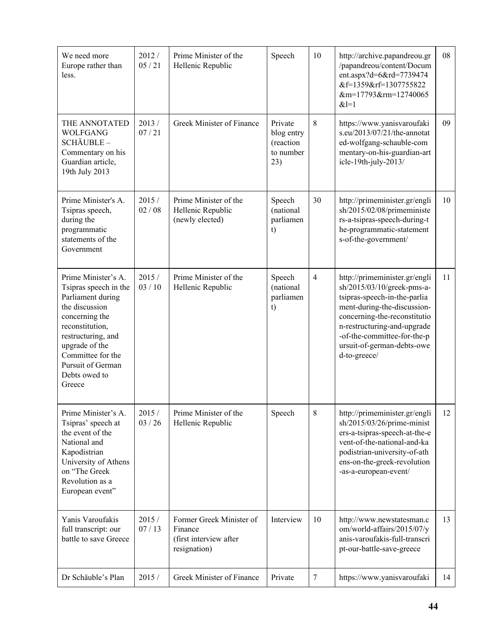| We need more<br>Europe rather than<br>less.                                                                                                                                                                                           | 2012/<br>05/21   | Prime Minister of the<br>Hellenic Republic                                    | Speech                                                 | 10             | http://archive.papandreou.gr<br>/papandreou/content/Docum<br>ent.aspx?d=6&rd=7739474<br>&f=1359&rf=1307755822<br>&m=17793&rm=12740065<br>$&1=1$                                                                                                                        | 08 |
|---------------------------------------------------------------------------------------------------------------------------------------------------------------------------------------------------------------------------------------|------------------|-------------------------------------------------------------------------------|--------------------------------------------------------|----------------|------------------------------------------------------------------------------------------------------------------------------------------------------------------------------------------------------------------------------------------------------------------------|----|
| THE ANNOTATED<br><b>WOLFGANG</b><br>SCHÄUBLE-<br>Commentary on his<br>Guardian article,<br>19th July 2013                                                                                                                             | 2013/<br>07/21   | Greek Minister of Finance                                                     | Private<br>blog entry<br>(reaction<br>to number<br>23) | 8              | https://www.yanisvaroufaki<br>s.eu/2013/07/21/the-annotat<br>ed-wolfgang-schauble-com<br>mentary-on-his-guardian-art<br>icle-19th-july-2013/                                                                                                                           | 09 |
| Prime Minister's A.<br>Tsipras speech,<br>during the<br>programmatic<br>statements of the<br>Government                                                                                                                               | 2015/<br>02/08   | Prime Minister of the<br>Hellenic Republic<br>(newly elected)                 | Speech<br>(national<br>parliamen<br>t)                 | 30             | http://primeminister.gr/engli<br>sh/2015/02/08/primeministe<br>rs-a-tsipras-speech-during-t<br>he-programmatic-statement<br>s-of-the-government/                                                                                                                       | 10 |
| Prime Minister's A.<br>Tsipras speech in the<br>Parliament during<br>the discussion<br>concerning the<br>reconstitution,<br>restructuring, and<br>upgrade of the<br>Committee for the<br>Pursuit of German<br>Debts owed to<br>Greece | 2015/<br>03/10   | Prime Minister of the<br>Hellenic Republic                                    | Speech<br>(national<br>parliamen<br>t)                 | $\overline{4}$ | http://primeminister.gr/engli<br>sh/2015/03/10/greek-pms-a-<br>tsipras-speech-in-the-parlia<br>ment-during-the-discussion-<br>concerning-the-reconstitutio<br>n-restructuring-and-upgrade<br>-of-the-committee-for-the-p<br>ursuit-of-german-debts-owe<br>d-to-greece/ | 11 |
| Prime Minister's A.<br>Tsipras' speech at<br>the event of the<br>National and<br>Kapodistrian<br>University of Athens<br>on "The Greek<br>Revolution as a<br>European event"                                                          | 2015/<br>03 / 26 | Prime Minister of the<br>Hellenic Republic                                    | Speech                                                 | $\,$ 8 $\,$    | http://primeminister.gr/engli<br>$sh/2015/03/26/prime-minist$<br>ers-a-tsipras-speech-at-the-e<br>vent-of-the-national-and-ka<br>podistrian-university-of-ath<br>ens-on-the-greek-revolution<br>-as-a-european-event/                                                  | 12 |
| Yanis Varoufakis<br>full transcript: our<br>battle to save Greece                                                                                                                                                                     | 2015/<br>07/13   | Former Greek Minister of<br>Finance<br>(first interview after<br>resignation) | Interview                                              | 10             | http://www.newstatesman.c<br>om/world-affairs/2015/07/y<br>anis-varoufakis-full-transcri<br>pt-our-battle-save-greece                                                                                                                                                  | 13 |
| Dr Schäuble's Plan                                                                                                                                                                                                                    | 2015/            | Greek Minister of Finance                                                     | Private                                                | $\tau$         | https://www.yanisvaroufaki                                                                                                                                                                                                                                             | 14 |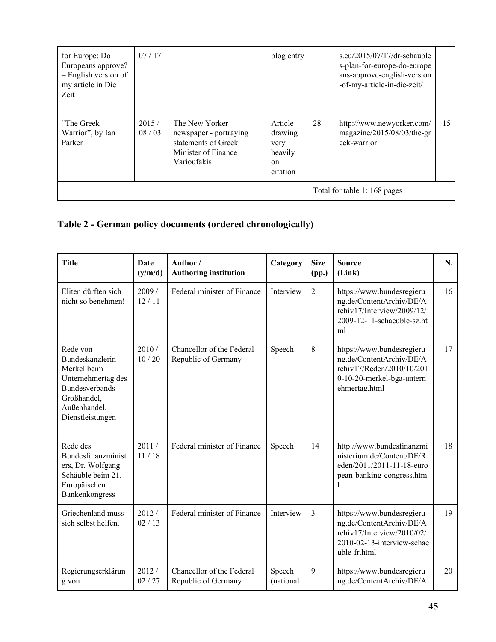| for Europe: Do<br>Europeans approve?<br>- English version of<br>my article in Die<br>Zeit | 07/17          |                                                                                                       | blog entry                                              |    | s.eu/2015/07/17/dr-schauble<br>s-plan-for-europe-do-europe<br>ans-approve-english-version<br>-of-my-article-in-die-zeit/ |    |
|-------------------------------------------------------------------------------------------|----------------|-------------------------------------------------------------------------------------------------------|---------------------------------------------------------|----|--------------------------------------------------------------------------------------------------------------------------|----|
| "The Greek"<br>Warrior", by Ian<br>Parker                                                 | 2015/<br>08/03 | The New Yorker<br>newspaper - portraying<br>statements of Greek<br>Minister of Finance<br>Varioufakis | Article<br>drawing<br>very<br>heavily<br>on<br>citation | 28 | http://www.newyorker.com/<br>magazine/2015/08/03/the-gr<br>eek-warrior                                                   | 15 |
|                                                                                           |                |                                                                                                       |                                                         |    | Total for table 1: 168 pages                                                                                             |    |

# **Table 2 - German policy documents (ordered chronologically)**

| <b>Title</b>                                                                                                                                 | Date<br>(y/m/d) | Author/<br><b>Authoring institution</b>          | Category            | <b>Size</b><br>(pp.) | <b>Source</b><br>(Link)                                                                                                           | N. |
|----------------------------------------------------------------------------------------------------------------------------------------------|-----------------|--------------------------------------------------|---------------------|----------------------|-----------------------------------------------------------------------------------------------------------------------------------|----|
| Eliten dürften sich<br>nicht so benehmen!                                                                                                    | 2009/<br>12/11  | Federal minister of Finance                      | Interview           | $\overline{2}$       | https://www.bundesregieru<br>ng.de/ContentArchiv/DE/A<br>rchiv17/Interview/2009/12/<br>2009-12-11-schaeuble-sz.ht<br>ml           | 16 |
| Rede von<br>Bundeskanzlerin<br>Merkel beim<br>Unternehmertag des<br><b>Bundesverbands</b><br>Großhandel,<br>Außenhandel,<br>Dienstleistungen | 2010/<br>10/20  | Chancellor of the Federal<br>Republic of Germany | Speech              | 8                    | https://www.bundesregieru<br>ng.de/ContentArchiv/DE/A<br>rchiv17/Reden/2010/10/201<br>0-10-20-merkel-bga-untern<br>ehmertag.html  | 17 |
| Rede des<br>Bundesfinanzminist<br>ers, Dr. Wolfgang<br>Schäuble beim 21.<br>Europäischen<br>Bankenkongress                                   | 2011/<br>11/18  | Federal minister of Finance                      | Speech              | 14                   | http://www.bundesfinanzmi<br>nisterium.de/Content/DE/R<br>eden/2011/2011-11-18-euro<br>pean-banking-congress.htm                  | 18 |
| Griechenland muss<br>sich selbst helfen.                                                                                                     | 2012/<br>02/13  | Federal minister of Finance                      | Interview           | $\mathfrak{Z}$       | https://www.bundesregieru<br>ng.de/ContentArchiv/DE/A<br>rchiv17/Interview/2010/02/<br>2010-02-13-interview-schae<br>uble-fr.html | 19 |
| Regierungserklärun<br>g von                                                                                                                  | 2012/<br>02/27  | Chancellor of the Federal<br>Republic of Germany | Speech<br>(national | 9                    | https://www.bundesregieru<br>ng.de/ContentArchiv/DE/A                                                                             | 20 |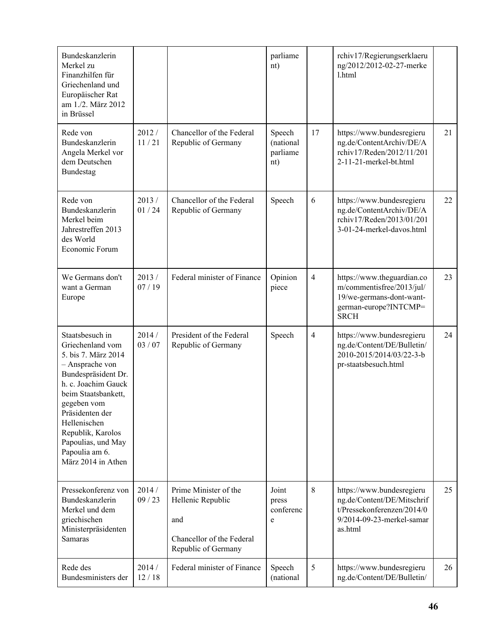| Bundeskanzlerin<br>Merkel zu<br>Finanzhilfen für<br>Griechenland und<br>Europäischer Rat<br>am 1./2. März 2012<br>in Brüssel                                                                                                                                                            |                |                                                                                                       | parliame<br>nt)                        |                | rchiv17/Regierungserklaeru<br>ng/2012/2012-02-27-merke<br>1.html                                                              |    |
|-----------------------------------------------------------------------------------------------------------------------------------------------------------------------------------------------------------------------------------------------------------------------------------------|----------------|-------------------------------------------------------------------------------------------------------|----------------------------------------|----------------|-------------------------------------------------------------------------------------------------------------------------------|----|
| Rede von<br>Bundeskanzlerin<br>Angela Merkel vor<br>dem Deutschen<br>Bundestag                                                                                                                                                                                                          | 2012/<br>11/21 | Chancellor of the Federal<br>Republic of Germany                                                      | Speech<br>(national<br>parliame<br>nt) | 17             | https://www.bundesregieru<br>ng.de/ContentArchiv/DE/A<br>rchiv17/Reden/2012/11/201<br>2-11-21-merkel-bt.html                  | 21 |
| Rede von<br>Bundeskanzlerin<br>Merkel beim<br>Jahrestreffen 2013<br>des World<br>Economic Forum                                                                                                                                                                                         | 2013/<br>01/24 | Chancellor of the Federal<br>Republic of Germany                                                      | Speech                                 | 6              | https://www.bundesregieru<br>ng.de/ContentArchiv/DE/A<br>rchiv17/Reden/2013/01/201<br>3-01-24-merkel-davos.html               | 22 |
| We Germans don't<br>want a German<br>Europe                                                                                                                                                                                                                                             | 2013/<br>07/19 | Federal minister of Finance                                                                           | Opinion<br>piece                       | $\overline{4}$ | https://www.theguardian.co<br>m/commentisfree/2013/jul/<br>19/we-germans-dont-want-<br>german-europe?INTCMP=<br><b>SRCH</b>   | 23 |
| Staatsbesuch in<br>Griechenland vom<br>5. bis 7. März 2014<br>- Ansprache von<br>Bundespräsident Dr.<br>h. c. Joachim Gauck<br>beim Staatsbankett,<br>gegeben vom<br>Präsidenten der<br>Hellenischen<br>Republik, Karolos<br>Papoulias, und May<br>Papoulia am 6.<br>März 2014 in Athen | 2014/<br>03/07 | President of the Federal<br>Republic of Germany                                                       | Speech                                 | $\overline{4}$ | https://www.bundesregieru<br>ng.de/Content/DE/Bulletin/<br>2010-2015/2014/03/22-3-b<br>pr-staatsbesuch.html                   | 24 |
| Pressekonferenz von<br>Bundeskanzlerin<br>Merkel und dem<br>griechischen<br>Ministerpräsidenten<br>Samaras                                                                                                                                                                              | 2014/<br>09/23 | Prime Minister of the<br>Hellenic Republic<br>and<br>Chancellor of the Federal<br>Republic of Germany | Joint<br>press<br>conferenc<br>e       | 8              | https://www.bundesregieru<br>ng.de/Content/DE/Mitschrif<br>t/Pressekonferenzen/2014/0<br>9/2014-09-23-merkel-samar<br>as.html | 25 |
| Rede des<br>Bundesministers der                                                                                                                                                                                                                                                         | 2014/<br>12/18 | Federal minister of Finance                                                                           | Speech<br>(national                    | 5              | https://www.bundesregieru<br>ng.de/Content/DE/Bulletin/                                                                       | 26 |